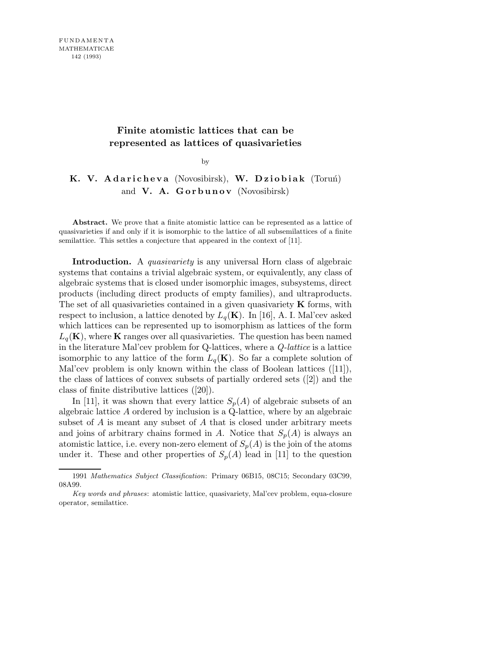## **Finite atomistic lattices that can be represented as lattices of quasivarieties**

by

## K. V. Adaricheva (Novosibirsk), W. Dziobiak (Toruń) and **V. A. Gorbunov** (Novosibirsk)

Abstract. We prove that a finite atomistic lattice can be represented as a lattice of quasivarieties if and only if it is isomorphic to the lattice of all subsemilattices of a finite semilattice. This settles a conjecture that appeared in the context of [11].

Introduction. A *quasivariety* is any universal Horn class of algebraic systems that contains a trivial algebraic system, or equivalently, any class of algebraic systems that is closed under isomorphic images, subsystems, direct products (including direct products of empty families), and ultraproducts. The set of all quasivarieties contained in a given quasivariety  $\bf{K}$  forms, with respect to inclusion, a lattice denoted by  $L_q(\mathbf{K})$ . In [16], A. I. Mal'cev asked which lattices can be represented up to isomorphism as lattices of the form  $L_q(\mathbf{K})$ , where K ranges over all quasivarieties. The question has been named in the literature Mal'cev problem for  $Q$ -lattices, where a  $Q$ -lattice is a lattice isomorphic to any lattice of the form  $L_q(\mathbf{K})$ . So far a complete solution of Mal'cev problem is only known within the class of Boolean lattices ([11]), the class of lattices of convex subsets of partially ordered sets ([2]) and the class of finite distributive lattices ([20]).

In [11], it was shown that every lattice  $S_p(A)$  of algebraic subsets of an algebraic lattice A ordered by inclusion is a Q-lattice, where by an algebraic subset of A is meant any subset of A that is closed under arbitrary meets and joins of arbitrary chains formed in A. Notice that  $S_p(A)$  is always an atomistic lattice, i.e. every non-zero element of  $S_p(A)$  is the join of the atoms under it. These and other properties of  $S_p(A)$  lead in [11] to the question

<sup>1991</sup> *Mathematics Subject Classification*: Primary 06B15, 08C15; Secondary 03C99, 08A99.

*Key words and phrases*: atomistic lattice, quasivariety, Mal'cev problem, equa-closure operator, semilattice.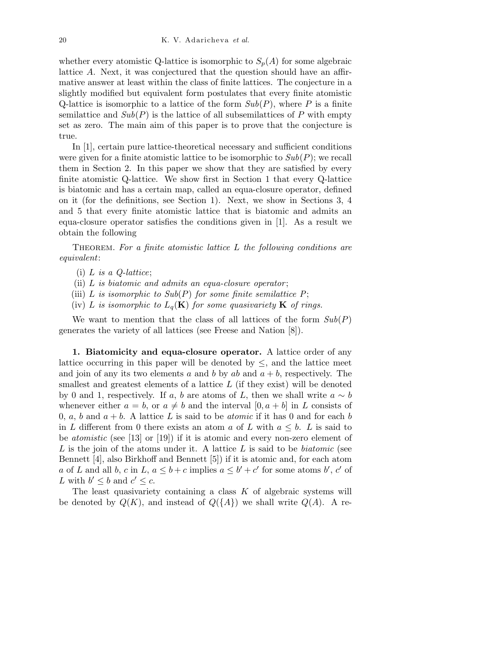whether every atomistic Q-lattice is isomorphic to  $S_p(A)$  for some algebraic lattice A. Next, it was conjectured that the question should have an affirmative answer at least within the class of finite lattices. The conjecture in a slightly modified but equivalent form postulates that every finite atomistic Q-lattice is isomorphic to a lattice of the form  $Sub(P)$ , where P is a finite semilattice and  $Sub(P)$  is the lattice of all subsemilattices of P with empty set as zero. The main aim of this paper is to prove that the conjecture is true.

In [1], certain pure lattice-theoretical necessary and sufficient conditions were given for a finite atomistic lattice to be isomorphic to  $Sub(P)$ ; we recall them in Section 2. In this paper we show that they are satisfied by every finite atomistic Q-lattice. We show first in Section 1 that every Q-lattice is biatomic and has a certain map, called an equa-closure operator, defined on it (for the definitions, see Section 1). Next, we show in Sections 3, 4 and 5 that every finite atomistic lattice that is biatomic and admits an equa-closure operator satisfies the conditions given in [1]. As a result we obtain the following

THEOREM. For a finite atomistic lattice  $L$  the following conditions are equivalent:

- (i)  $L$  is a  $Q$ -lattice;
- (ii) L is biatomic and admits an equa-closure operator;
- (iii) L is isomorphic to  $Sub(P)$  for some finite semilattice P;
- (iv) L is isomorphic to  $L_q(\mathbf{K})$  for some quasivariety **K** of rings.

We want to mention that the class of all lattices of the form  $Sub(P)$ generates the variety of all lattices (see Freese and Nation [8]).

1. Biatomicity and equa-closure operator. A lattice order of any lattice occurring in this paper will be denoted by  $\leq$ , and the lattice meet and join of any its two elements a and b by ab and  $a + b$ , respectively. The smallest and greatest elements of a lattice  $L$  (if they exist) will be denoted by 0 and 1, respectively. If a, b are atoms of L, then we shall write  $a \sim b$ whenever either  $a = b$ , or  $a \neq b$  and the interval  $[0, a + b]$  in L consists of 0, a, b and  $a + b$ . A lattice L is said to be *atomic* if it has 0 and for each b in L different from 0 there exists an atom a of L with  $a \leq b$ . L is said to be atomistic (see [13] or [19]) if it is atomic and every non-zero element of L is the join of the atoms under it. A lattice L is said to be *biatomic* (see Bennett [4], also Birkhoff and Bennett [5]) if it is atomic and, for each atom a of L and all b, c in L,  $a \leq b + c$  implies  $a \leq b' + c'$  for some atoms b', c' of L with  $b' \leq b$  and  $c' \leq c$ .

The least quasivariety containing a class  $K$  of algebraic systems will be denoted by  $Q(K)$ , and instead of  $Q({A})$  we shall write  $Q(A)$ . A re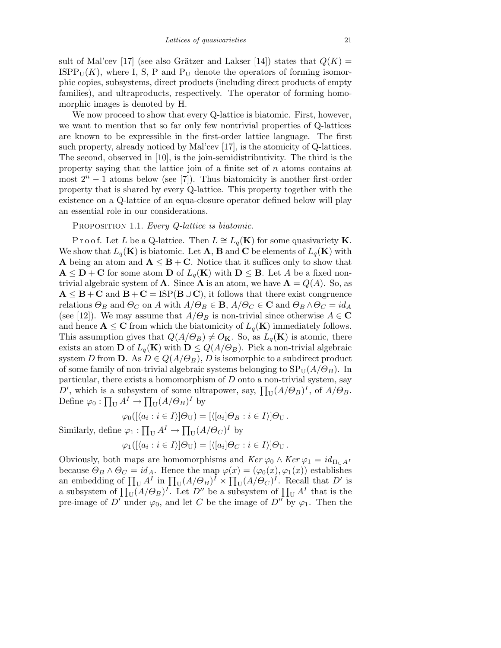sult of Mal'cev [17] (see also Grätzer and Lakser [14]) states that  $Q(K)$  =  $ISPP<sub>U</sub>(K)$ , where I, S, P and P<sub>U</sub> denote the operators of forming isomorphic copies, subsystems, direct products (including direct products of empty families), and ultraproducts, respectively. The operator of forming homomorphic images is denoted by H.

We now proceed to show that every Q-lattice is biatomic. First, however, we want to mention that so far only few nontrivial properties of Q-lattices are known to be expressible in the first-order lattice language. The first such property, already noticed by Mal'cev [17], is the atomicity of Q-lattices. The second, observed in [10], is the join-semidistributivity. The third is the property saying that the lattice join of a finite set of  $n$  atoms contains at most  $2^{n} - 1$  atoms below (see [7]). Thus biatomicity is another first-order property that is shared by every Q-lattice. This property together with the existence on a Q-lattice of an equa-closure operator defined below will play an essential role in our considerations.

PROPOSITION 1.1. Every Q-lattice is biatomic.

P r o o f. Let L be a Q-lattice. Then  $L \cong L_q(\mathbf{K})$  for some quasivariety **K**. We show that  $L_q(\mathbf{K})$  is biatomic. Let **A**, **B** and **C** be elements of  $L_q(\mathbf{K})$  with **A** being an atom and  $A \leq B + C$ . Notice that it suffices only to show that  $\mathbf{A} \leq \mathbf{D} + \mathbf{C}$  for some atom **D** of  $L_q(\mathbf{K})$  with  $\mathbf{D} \leq \mathbf{B}$ . Let A be a fixed nontrivial algebraic system of **A**. Since **A** is an atom, we have  $\mathbf{A} = Q(A)$ . So, as  $A \leq B + C$  and  $B + C = ISP(B \cup C)$ , it follows that there exist congruence relations  $\Theta_B$  and  $\Theta_C$  on A with  $A/\Theta_B \in \mathbf{B}$ ,  $A/\Theta_C \in \mathbf{C}$  and  $\Theta_B \wedge \Theta_C = id_A$ (see [12]). We may assume that  $A/\Theta_B$  is non-trivial since otherwise  $A \in \mathbb{C}$ and hence  $\mathbf{A} \leq \mathbf{C}$  from which the biatomicity of  $L_q(\mathbf{K})$  immediately follows. This assumption gives that  $Q(A/\Theta_B) \neq O_{\mathbf{K}}$ . So, as  $L_q(\mathbf{K})$  is atomic, there exists an atom **D** of  $L_q(\mathbf{K})$  with  $\mathbf{D} \leq Q(A/\Theta_B)$ . Pick a non-trivial algebraic system D from **D**. As  $D \in Q(A/\Theta_B)$ , D is isomorphic to a subdirect product of some family of non-trivial algebraic systems belonging to  $SP_{U}(A/\Theta_{B})$ . In particular, there exists a homomorphism of  $D$  onto a non-trivial system, say D', which is a subsystem of some ultrapower, say,  $\prod_{U} (A/\Theta_B)^{I}$ , of  $A/\Theta_B$ . Define  $\varphi_0: \prod_U A^I \to \prod_U (A/\Theta_B)^I$  by

$$
\varphi_0([\langle a_i : i \in I \rangle] \Theta_U) = [\langle [a_i] \Theta_B : i \in I \rangle] \Theta_U.
$$

Similarly, define  $\varphi_1 : \prod_{U} A^I \to \prod_{U} (A/\Theta_C)^I$  by

$$
\varphi_1([\langle a_i : i \in I \rangle] \Theta_U) = [\langle [a_i] \Theta_C : i \in I \rangle] \Theta_U.
$$

Obviously, both maps are homomorphisms and  $\operatorname{Ker} \varphi_0 \wedge \operatorname{Ker} \varphi_1 = id_{\Pi_U A^I}$ because  $\Theta_B \wedge \Theta_C = id_A$ . Hence the map  $\varphi(x) = (\varphi_0(x), \varphi_1(x))$  establishes an embedding of  $\prod_{U} A^{I}$  in  $\prod_{U} (A/\Theta_B)^{I} \times \prod_{U} (A/\Theta_C)^{I}$ . Recall that D' is a subsystem of  $\prod_{U} (A/\Theta_B)^{I}$ . Let  $D''$  be a subsystem of  $\prod_{U} A^{I}$  that is the pre-image of D' under  $\varphi_0$ , and let C be the image of D'' by  $\varphi_1$ . Then the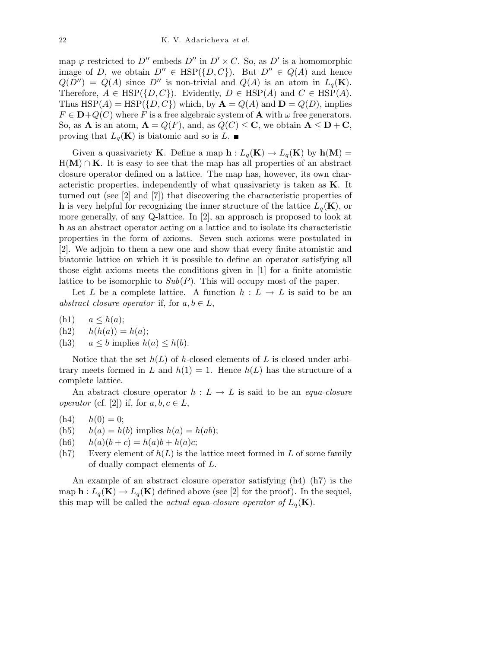map  $\varphi$  restricted to D'' embeds D'' in D' × C. So, as D' is a homomorphic image of D, we obtain  $D'' \in \text{HSP}(\{D, C\})$ . But  $D'' \in Q(A)$  and hence  $Q(D'') = Q(A)$  since D'' is non-trivial and  $Q(A)$  is an atom in  $L_q(\mathbf{K})$ . Therefore,  $A \in \text{HSP}(\{D, C\})$ . Evidently,  $D \in \text{HSP}(A)$  and  $C \in \text{HSP}(A)$ . Thus  $HSP(A) = HSP({D, C})$  which, by  $A = Q(A)$  and  $D = Q(D)$ , implies  $F \in \mathbf{D}+Q(C)$  where F is a free algebraic system of **A** with  $\omega$  free generators. So, as **A** is an atom,  $\mathbf{A} = Q(F)$ , and, as  $Q(C) \leq \mathbf{C}$ , we obtain  $\mathbf{A} \leq \mathbf{D} + \mathbf{C}$ , proving that  $L_q(\mathbf{K})$  is biatomic and so is  $L$ .

Given a quasivariety **K**. Define a map  $h: L_q(K) \to L_q(K)$  by  $h(M) =$  $H(M) \cap K$ . It is easy to see that the map has all properties of an abstract closure operator defined on a lattice. The map has, however, its own characteristic properties, independently of what quasivariety is taken as K. It turned out (see [2] and [7]) that discovering the characteristic properties of **h** is very helpful for recognizing the inner structure of the lattice  $L_q(\mathbf{K})$ , or more generally, of any Q-lattice. In [2], an approach is proposed to look at h as an abstract operator acting on a lattice and to isolate its characteristic properties in the form of axioms. Seven such axioms were postulated in [2]. We adjoin to them a new one and show that every finite atomistic and biatomic lattice on which it is possible to define an operator satisfying all those eight axioms meets the conditions given in [1] for a finite atomistic lattice to be isomorphic to  $Sub(P)$ . This will occupy most of the paper.

Let L be a complete lattice. A function  $h : L \to L$  is said to be an abstract closure operator if, for  $a, b \in L$ ,

- (h1)  $a \leq h(a);$
- $(h2)$   $h(h(a)) = h(a);$
- (h3)  $a \leq b$  implies  $h(a) \leq h(b)$ .

Notice that the set  $h(L)$  of h-closed elements of L is closed under arbitrary meets formed in L and  $h(1) = 1$ . Hence  $h(L)$  has the structure of a complete lattice.

An abstract closure operator  $h : L \to L$  is said to be an *equa-closure* operator (cf. [2]) if, for  $a, b, c \in L$ ,

- $(h4)$   $h(0) = 0;$
- (h5)  $h(a) = h(b)$  implies  $h(a) = h(ab)$ ;
- (h6)  $h(a)(b + c) = h(a)b + h(a)c;$
- $(h7)$  Every element of  $h(L)$  is the lattice meet formed in L of some family of dually compact elements of L.

An example of an abstract closure operator satisfying  $(h4)$ – $(h7)$  is the map  $h: L_q(K) \to L_q(K)$  defined above (see [2] for the proof). In the sequel, this map will be called the *actual equa-closure operator of*  $L_q(\mathbf{K})$ .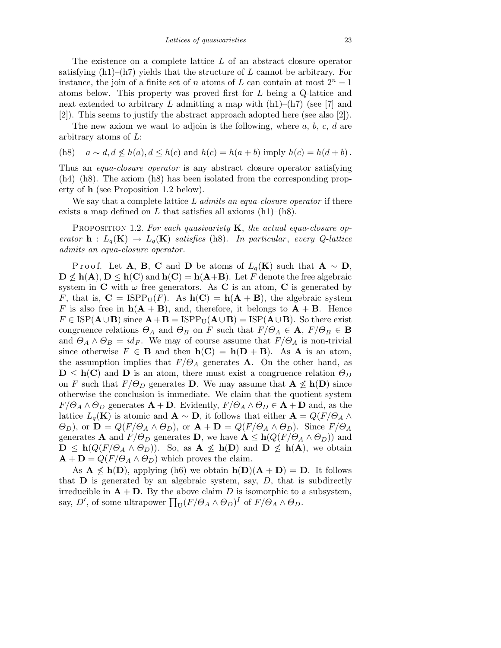The existence on a complete lattice L of an abstract closure operator satisfying  $(h1)$ – $(h7)$  yields that the structure of L cannot be arbitrary. For instance, the join of a finite set of n atoms of L can contain at most  $2<sup>n</sup> - 1$ atoms below. This property was proved first for L being a Q-lattice and next extended to arbitrary L admitting a map with  $(h1)$ – $(h7)$  (see [7] and [2]). This seems to justify the abstract approach adopted here (see also [2]).

The new axiom we want to adjoin is the following, where  $a, b, c, d$  are arbitrary atoms of L:

(h8)  $a \sim d, d \not\leq h(a), d \leq h(c)$  and  $h(c) = h(a+b)$  imply  $h(c) = h(d+b)$ .

Thus an *equa-closure operator* is any abstract closure operator satisfying (h4)–(h8). The axiom (h8) has been isolated from the corresponding property of h (see Proposition 1.2 below).

We say that a complete lattice L admits an equa-closure operator if there exists a map defined on L that satisfies all axioms  $(h1)$ – $(h8)$ .

PROPOSITION 1.2. For each quasivariety  $\bf{K}$ , the actual equa-closure operator  $h: L_q(K) \to L_q(K)$  satisfies (h8). In particular, every Q-lattice admits an equa-closure operator.

P r o o f. Let A, B, C and D be atoms of  $L_q(K)$  such that  $A \sim D$ ,  $\mathbf{D} \not\leq \mathbf{h}(\mathbf{A}), \mathbf{D} \leq \mathbf{h}(\mathbf{C})$  and  $\mathbf{h}(\mathbf{C}) = \mathbf{h}(\mathbf{A} + \mathbf{B})$ . Let F denote the free algebraic system in  $C$  with  $\omega$  free generators. As  $C$  is an atom,  $C$  is generated by F, that is,  $C = \text{ISPP}_U(F)$ . As  $h(C) = h(A + B)$ , the algebraic system F is also free in  $h(A + B)$ , and, therefore, it belongs to  $A + B$ . Hence  $F \in \text{ISP}(\mathbf{A} \cup \mathbf{B})$  since  $\mathbf{A} + \mathbf{B} = \text{ISPP}_{\text{U}}(\mathbf{A} \cup \mathbf{B}) = \text{ISP}(\mathbf{A} \cup \mathbf{B})$ . So there exist congruence relations  $\Theta_A$  and  $\Theta_B$  on F such that  $F/\Theta_A \in \mathbf{A}$ ,  $F/\Theta_B \in \mathbf{B}$ and  $\Theta_A \wedge \Theta_B = id_F$ . We may of course assume that  $F/\Theta_A$  is non-trivial since otherwise  $F \in \mathbf{B}$  and then  $h(\mathbf{C}) = h(\mathbf{D} + \mathbf{B})$ . As **A** is an atom, the assumption implies that  $F/\Theta_A$  generates **A**. On the other hand, as  $\mathbf{D} \leq \mathbf{h}(\mathbf{C})$  and  $\mathbf{D}$  is an atom, there must exist a congruence relation  $\Theta_D$ on F such that  $F/\Theta_D$  generates D. We may assume that  $A \nleq h(D)$  since otherwise the conclusion is immediate. We claim that the quotient system  $F/\Theta_A \wedge \Theta_D$  generates  $\mathbf{A} + \mathbf{D}$ . Evidently,  $F/\Theta_A \wedge \Theta_D \in \mathbf{A} + \mathbf{D}$  and, as the lattice  $L_q(\mathbf{K})$  is atomic and  $\mathbf{A} \sim \mathbf{D}$ , it follows that either  $\mathbf{A} = Q(F/\Theta_A \wedge$  $(\Theta_D)$ , or  $\mathbf{D} = Q(F/\Theta_A \wedge \Theta_D)$ , or  $\mathbf{A} + \mathbf{D} = Q(F/\Theta_A \wedge \Theta_D)$ . Since  $F/\Theta_A$ generates **A** and  $F/\Theta_D$  generates **D**, we have  $\mathbf{A} \leq \mathbf{h}(Q(F/\Theta_A \wedge \Theta_D))$  and  $\mathbf{D} \leq \mathbf{h}(Q(F/\Theta_A \wedge \Theta_D)).$  So, as  $\mathbf{A} \not\leq \mathbf{h}(\mathbf{D})$  and  $\mathbf{D} \not\leq \mathbf{h}(\mathbf{A}),$  we obtain  $\mathbf{A} + \mathbf{D} = Q(F/\Theta_A \wedge \Theta_D)$  which proves the claim.

As  $A \nleq h(D)$ , applying (h6) we obtain  $h(D)(A + D) = D$ . It follows that  **is generated by an algebraic system, say,**  $D$ **, that is subdirectly** irreducible in  $\mathbf{A} + \mathbf{D}$ . By the above claim D is isomorphic to a subsystem, say, D', of some ultrapower  $\prod_{U} (F/\Theta_A \wedge \Theta_D)^{I}$  of  $F/\Theta_A \wedge \Theta_D$ .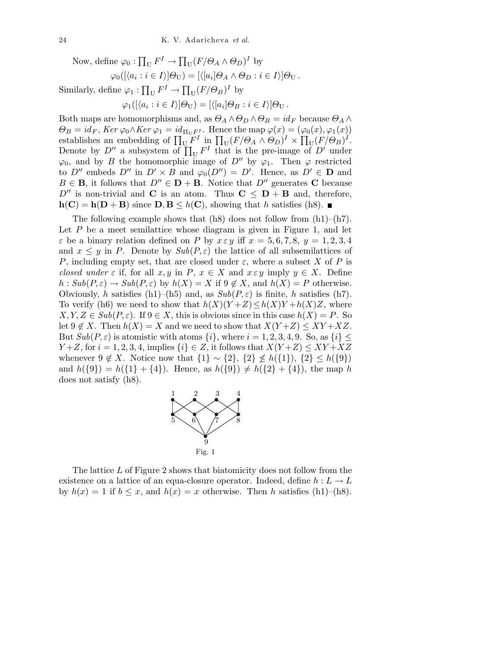Now, define  $\varphi_0 : \prod_{U} F^{I} \to \prod_{U} (F/\Theta_A \wedge \Theta_D)^{I}$  by  $\varphi_0([\langle a_i : i \in I \rangle] \Theta_{\text{U}}) = [\langle [a_i] \Theta_A \wedge \Theta_D : i \in I \rangle] \Theta_{\text{U}}$ . Similarly, define  $\varphi_1 : \prod_{U} F^{I} \to \prod_{U} (F/\Theta_B)^{I}$  by  $\varphi_1([\langle a_i : i \in I \rangle] \Theta_{\text{U}}) = [\langle [a_i] \Theta_B : i \in I \rangle] \Theta_{\text{U}}$ .

Both maps are homomorphisms and, as  $\Theta_A \wedge \Theta_D \wedge \Theta_B = id_F$  because  $\Theta_A \wedge$  $\Theta_B = id_F$ , Ker  $\varphi_0 \wedge Ker \varphi_1 = id_{\Pi_U F^I}$ . Hence the map  $\varphi(x) = (\varphi_0(x), \varphi_1(x))$ establishes an embedding of  $\prod_{U} F^{I}$  in  $\prod_{U} (F/\Theta_{A} \wedge \Theta_{D})^{I} \times \prod_{U} (F/\Theta_{B})^{I}$ . Denote by  $D''$  a subsystem of  $\prod_{U} F^{I}$  that is the pre-image of  $D'$  under  $\varphi_0$ , and by B the homomorphic image of D'' by  $\varphi_1$ . Then  $\varphi$  restricted to  $D''$  embeds  $D''$  in  $D' \times B$  and  $\varphi_0(D'') = D'$ . Hence, as  $D' \in \mathbf{D}$  and  $B \in \mathbf{B}$ , it follows that  $D'' \in \mathbf{D} + \mathbf{B}$ . Notice that  $D''$  generates **C** because  $D''$  is non-trivial and C is an atom. Thus  $C \le D + B$  and, therefore,  $h(C) = h(D + B)$  since  $D, B \leq h(C)$ , showing that h satisfies (h8).

The following example shows that  $(h8)$  does not follow from  $(h1)$ – $(h7)$ . Let  $P$  be a meet semilattice whose diagram is given in Figure 1, and let  $\varepsilon$  be a binary relation defined on P by  $x \varepsilon y$  iff  $x = 5, 6, 7, 8, y = 1, 2, 3, 4$ and  $x \leq y$  in P. Denote by  $Sub(P, \varepsilon)$  the lattice of all subsemilattices of P, including empty set, that are closed under  $\varepsilon$ , where a subset X of P is closed under  $\varepsilon$  if, for all  $x, y$  in  $P, x \in X$  and  $x \in y$  imply  $y \in X$ . Define  $h: Sub(P, \varepsilon) \to Sub(P, \varepsilon)$  by  $h(X) = X$  if  $9 \notin X$ , and  $h(X) = P$  otherwise. Obviously, h satisfies (h1)–(h5) and, as  $Sub(P, \varepsilon)$  is finite, h satisfies (h7). To verify (h6) we need to show that  $h(X)(Y+Z) \leq h(X)Y + h(X)Z$ , where  $X, Y, Z \in Sub(P, \varepsilon)$ . If  $9 \in X$ , this is obvious since in this case  $h(X) = P$ . So let  $9 \notin X$ . Then  $h(X) = X$  and we need to show that  $X(Y+Z) \leq XY+XZ$ . But  $Sub(P, \varepsilon)$  is atomistic with atoms  $\{i\}$ , where  $i = 1, 2, 3, 4, 9$ . So, as  $\{i\} \leq$  $Y+Z$ , for  $i = 1, 2, 3, 4$ , implies  $\{i\} \in Z$ , it follows that  $X(Y+Z) \le XY+XZ$ whenever  $9 \notin X$ . Notice now that  $\{1\} \sim \{2\}$ ,  $\{2\} \nleq h(\{1\})$ ,  $\{2\} \leq h(\{9\})$ and  $h({9}) = h({1} + {4})$ . Hence, as  $h({9}) \neq h({2} + {4})$ , the map h does not satisfy (h8).



The lattice L of Figure 2 shows that biatomicity does not follow from the existence on a lattice of an equa-closure operator. Indeed, define  $h: L \to L$ by  $h(x) = 1$  if  $b \leq x$ , and  $h(x) = x$  otherwise. Then h satisfies (h1)–(h8).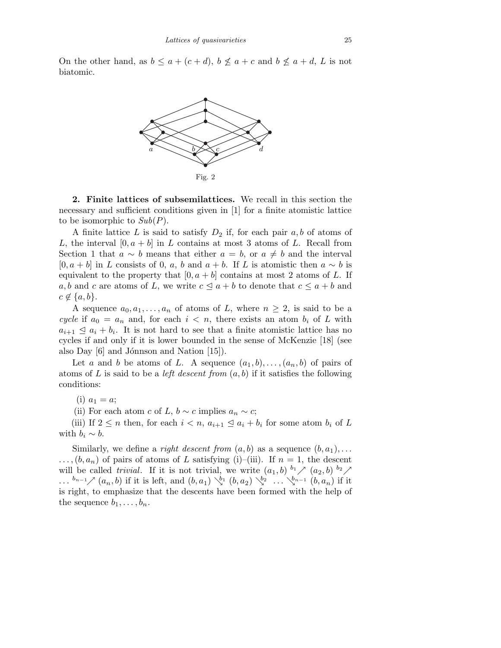On the other hand, as  $b \le a + (c + d)$ ,  $b \nle a + c$  and  $b \nle a + d$ , L is not biatomic.



2. Finite lattices of subsemilattices. We recall in this section the necessary and sufficient conditions given in [1] for a finite atomistic lattice to be isomorphic to  $Sub(P)$ .

A finite lattice L is said to satisfy  $D_2$  if, for each pair  $a, b$  of atoms of L, the interval  $[0, a + b]$  in L contains at most 3 atoms of L. Recall from Section 1 that  $a \sim b$  means that either  $a = b$ , or  $a \neq b$  and the interval  $[0, a + b]$  in L consists of 0, a, b and  $a + b$ . If L is atomistic then  $a \sim b$  is equivalent to the property that  $[0, a + b]$  contains at most 2 atoms of L. If a,b and c are atoms of L, we write  $c \leq a + b$  to denote that  $c \leq a + b$  and  $c \notin \{a,b\}.$ 

A sequence  $a_0, a_1, \ldots, a_n$  of atoms of L, where  $n \geq 2$ , is said to be a cycle if  $a_0 = a_n$  and, for each  $i < n$ , there exists an atom  $b_i$  of L with  $a_{i+1} \leq a_i + b_i$ . It is not hard to see that a finite atomistic lattice has no cycles if and only if it is lower bounded in the sense of McKenzie [18] (see also Day  $|6|$  and Jónnson and Nation  $|15|$ .

Let a and b be atoms of L. A sequence  $(a_1,b),\ldots,(a_n,b)$  of pairs of atoms of L is said to be a *left descent from*  $(a, b)$  if it satisfies the following conditions:

(i)  $a_1 = a;$ 

(ii) For each atom c of L,  $b \sim c$  implies  $a_n \sim c$ ;

(iii) If  $2 \leq n$  then, for each  $i < n$ ,  $a_{i+1} \leq a_i + b_i$  for some atom  $b_i$  of L with  $b_i \sim b$ .

Similarly, we define a *right descent from*  $(a, b)$  as a sequence  $(b, a_1), \ldots$  $\ldots$ ,  $(b, a_n)$  of pairs of atoms of L satisfying (i)–(iii). If  $n = 1$ , the descent will be called *trivial*. If it is not trivial, we write  $(a_1, b)$   $b_1 \nearrow (a_2, b)$   $b_2 \nearrow$  $\ldots$   $^{b_{n-1}}\nearrow$   $(a_n, b)$  if it is left, and  $(b, a_1) \searrow^{b_1} (b, a_2) \searrow^{b_2} \ldots \searrow^{b_{n-1}} (b, a_n)$  if it is right, to emphasize that the descents have been formed with the help of the sequence  $b_1, \ldots, b_n$ .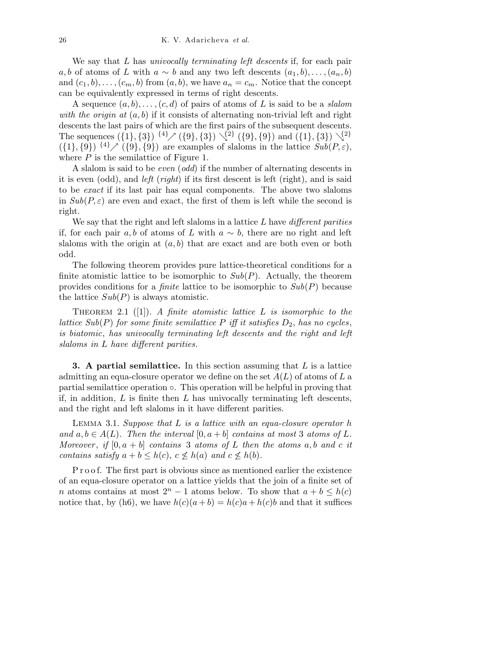We say that L has *univocally terminating left descents* if, for each pair a,b of atoms of L with  $a \sim b$  and any two left descents  $(a_1, b), \ldots, (a_n, b)$ and  $(c_1,b),\ldots,(c_m,b)$  from  $(a,b)$ , we have  $a_n = c_m$ . Notice that the concept can be equivalently expressed in terms of right descents.

A sequence  $(a, b), \ldots, (c, d)$  of pairs of atoms of L is said to be a slalom with the origin at  $(a, b)$  if it consists of alternating non-trivial left and right descents the last pairs of which are the first pairs of the subsequent descents. The sequences  $({1}, {3})$   ${4} \times ({9}, {3})$   $\{4} \times ({9}, {3})$   $({9}, {9})$  and  $({1}, {3})$   $\{4}$  $({1}, {9})$   ${4}^7$   $({9}, {9})$  are examples of slaloms in the lattice  $Sub(P, \varepsilon)$ , where  $P$  is the semilattice of Figure 1.

A slalom is said to be even (odd) if the number of alternating descents in it is even (odd), and left (right) if its first descent is left (right), and is said to be exact if its last pair has equal components. The above two slaloms in  $Sub(P, \varepsilon)$  are even and exact, the first of them is left while the second is right.

We say that the right and left slaloms in a lattice  $L$  have different parities if, for each pair a,b of atoms of L with  $a \sim b$ , there are no right and left slaloms with the origin at  $(a, b)$  that are exact and are both even or both odd.

The following theorem provides pure lattice-theoretical conditions for a finite atomistic lattice to be isomorphic to  $Sub(P)$ . Actually, the theorem provides conditions for a *finite* lattice to be isomorphic to  $Sub(P)$  because the lattice  $Sub(P)$  is always atomistic.

THEOREM 2.1 ([1]). A finite atomistic lattice  $L$  is isomorphic to the lattice  $Sub(P)$  for some finite semilattice P iff it satisfies  $D_2$ , has no cycles, is biatomic, has univocally terminating left descents and the right and left slaloms in L have different parities.

**3.** A partial semilattice. In this section assuming that  $L$  is a lattice admitting an equa-closure operator we define on the set  $A(L)$  of atoms of L a partial semilattice operation ◦. This operation will be helpful in proving that if, in addition,  $L$  is finite then  $L$  has univocally terminating left descents, and the right and left slaloms in it have different parities.

LEMMA 3.1. Suppose that  $L$  is a lattice with an equa-closure operator  $h$ and  $a, b \in A(L)$ . Then the interval  $[0, a + b]$  contains at most 3 atoms of L. Moreover, if  $[0, a + b]$  contains 3 atoms of L then the atoms a, b and c it contains satisfy  $a + b \leq h(c)$ ,  $c \nleq h(a)$  and  $c \nleq h(b)$ .

P r o o f. The first part is obvious since as mentioned earlier the existence of an equa-closure operator on a lattice yields that the join of a finite set of n atoms contains at most  $2^{n} - 1$  atoms below. To show that  $a + b \leq h(c)$ notice that, by (h6), we have  $h(c)(a + b) = h(c)a + h(c)b$  and that it suffices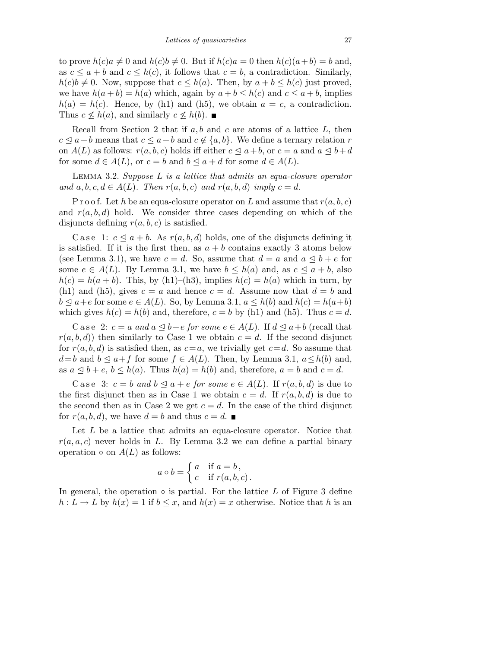to prove  $h(c)a \neq 0$  and  $h(c)b \neq 0$ . But if  $h(c)a = 0$  then  $h(c)(a+b) = b$  and, as  $c \le a + b$  and  $c \le h(c)$ , it follows that  $c = b$ , a contradiction. Similarly,  $h(c)b \neq 0$ . Now, suppose that  $c \leq h(a)$ . Then, by  $a + b \leq h(c)$  just proved, we have  $h(a + b) = h(a)$  which, again by  $a + b \leq h(c)$  and  $c \leq a + b$ , implies  $h(a) = h(c)$ . Hence, by (h1) and (h5), we obtain  $a = c$ , a contradiction. Thus  $c \nleq h(a)$ , and similarly  $c \nleq h(b)$ .

Recall from Section 2 that if  $a, b$  and  $c$  are atoms of a lattice  $L$ , then  $c \leq a+b$  means that  $c \leq a+b$  and  $c \notin \{a,b\}$ . We define a ternary relation r on  $A(L)$  as follows:  $r(a,b,c)$  holds iff either  $c \le a+b$ , or  $c = a$  and  $a \le b+d$ for some  $d \in A(L)$ , or  $c = b$  and  $b \le a + d$  for some  $d \in A(L)$ .

Lemma 3.2. Suppose L is a lattice that admits an equa-closure operator and  $a, b, c, d \in A(L)$ . Then  $r(a, b, c)$  and  $r(a, b, d)$  imply  $c = d$ .

P r o o f. Let h be an equa-closure operator on L and assume that  $r(a,b,c)$ and  $r(a,b,d)$  hold. We consider three cases depending on which of the disjuncts defining  $r(a, b, c)$  is satisfied.

C a se 1:  $c \leq a + b$ . As  $r(a, b, d)$  holds, one of the disjuncts defining it is satisfied. If it is the first then, as  $a + b$  contains exactly 3 atoms below (see Lemma 3.1), we have  $c = d$ . So, assume that  $d = a$  and  $a \leq b + e$  for some  $e \in A(L)$ . By Lemma 3.1, we have  $b \leq h(a)$  and, as  $c \leq a + b$ , also  $h(c) = h(a + b)$ . This, by (h1)–(h3), implies  $h(c) = h(a)$  which in turn, by (h1) and (h5), gives  $c = a$  and hence  $c = d$ . Assume now that  $d = b$  and  $b \le a + e$  for some  $e \in A(L)$ . So, by Lemma 3.1,  $a \le h(b)$  and  $h(c) = h(a+b)$ which gives  $h(c) = h(b)$  and, therefore,  $c = b$  by (h1) and (h5). Thus  $c = d$ .

C a se 2:  $c = a$  and  $a \leq b + e$  for some  $e \in A(L)$ . If  $d \leq a + b$  (recall that  $r(a,b,d)$  then similarly to Case 1 we obtain  $c = d$ . If the second disjunct for  $r(a,b,d)$  is satisfied then, as  $c=a$ , we trivially get  $c=d$ . So assume that  $d=b$  and  $b \le a+f$  for some  $f \in A(L)$ . Then, by Lemma 3.1,  $a \le h(b)$  and, as  $a \leq b + e$ ,  $b \leq h(a)$ . Thus  $h(a) = h(b)$  and, therefore,  $a = b$  and  $c = d$ .

Case 3:  $c = b$  and  $b \le a + e$  for some  $e \in A(L)$ . If  $r(a, b, d)$  is due to the first disjunct then as in Case 1 we obtain  $c = d$ . If  $r(a,b,d)$  is due to the second then as in Case 2 we get  $c = d$ . In the case of the third disjunct for  $r(a,b,d)$ , we have  $d = b$  and thus  $c = d$ .

Let L be a lattice that admits an equa-closure operator. Notice that  $r(a,a,c)$  never holds in L. By Lemma 3.2 we can define a partial binary operation  $\circ$  on  $A(L)$  as follows:

$$
a \circ b = \begin{cases} a & \text{if } a = b, \\ c & \text{if } r(a, b, c) \end{cases}
$$

In general, the operation  $\circ$  is partial. For the lattice L of Figure 3 define  $h: L \to L$  by  $h(x) = 1$  if  $b \leq x$ , and  $h(x) = x$  otherwise. Notice that h is an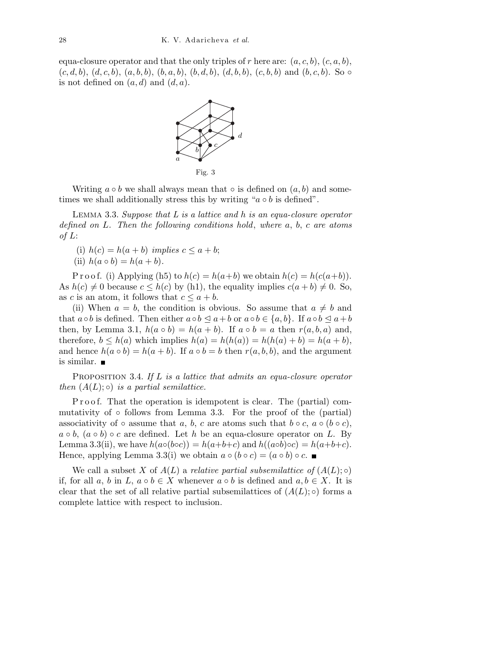equa-closure operator and that the only triples of r here are:  $(a, c, b)$ ,  $(c, a, b)$ ,  $(c, d, b), (d, c, b), (a, b, b), (b, a, b), (b, d, b), (d, b, b), (c, b, b)$  and  $(b, c, b)$ . So  $\circ$ is not defined on  $(a, d)$  and  $(d, a)$ .



Fig. 3

Writing  $a \circ b$  we shall always mean that  $\circ$  is defined on  $(a, b)$  and sometimes we shall additionally stress this by writing " $a \circ b$  is defined".

LEMMA 3.3. Suppose that  $L$  is a lattice and  $h$  is an equa-closure operator defined on L. Then the following conditions hold, where a, b, c are atoms of  $L$ :

(i)  $h(c) = h(a + b)$  implies  $c \le a + b$ ;

(ii) 
$$
h(a \circ b) = h(a + b)
$$
.

P r o o f. (i) Applying (h5) to  $h(c) = h(a+b)$  we obtain  $h(c) = h(c(a+b))$ . As  $h(c) \neq 0$  because  $c \leq h(c)$  by (h1), the equality implies  $c(a + b) \neq 0$ . So, as c is an atom, it follows that  $c \leq a + b$ .

(ii) When  $a = b$ , the condition is obvious. So assume that  $a \neq b$  and that  $a \circ b$  is defined. Then either  $a \circ b \leq a+b$  or  $a \circ b \in \{a,b\}$ . If  $a \circ b \leq a+b$ then, by Lemma 3.1,  $h(a \circ b) = h(a + b)$ . If  $a \circ b = a$  then  $r(a, b, a)$  and, therefore,  $b \leq h(a)$  which implies  $h(a) = h(h(a)) = h(h(a) + b) = h(a + b)$ , and hence  $h(a \circ b) = h(a + b)$ . If  $a \circ b = b$  then  $r(a, b, b)$ , and the argument is similar.

**PROPOSITION** 3.4. If L is a lattice that admits an equa-closure operator then  $(A(L); \circ)$  is a partial semilattice.

P r o o f. That the operation is idempotent is clear. The (partial) commutativity of  $\circ$  follows from Lemma 3.3. For the proof of the (partial) associativity of ◦ assume that a, b, c are atoms such that  $b \circ c$ ,  $a \circ (b \circ c)$ ,  $a \circ b$ ,  $(a \circ b) \circ c$  are defined. Let h be an equa-closure operator on L. By Lemma 3.3(ii), we have  $h(a \circ (b \circ c)) = h(a+b+c)$  and  $h((a \circ b) \circ c) = h(a+b+c)$ . Hence, applying Lemma 3.3(i) we obtain  $a \circ (b \circ c) = (a \circ b) \circ c$ .

We call a subset X of  $A(L)$  a relative partial subsemilattice of  $(A(L);\circ)$ if, for all a, b in L,  $a \circ b \in X$  whenever  $a \circ b$  is defined and  $a, b \in X$ . It is clear that the set of all relative partial subsemilattices of  $(A(L);\circ)$  forms a complete lattice with respect to inclusion.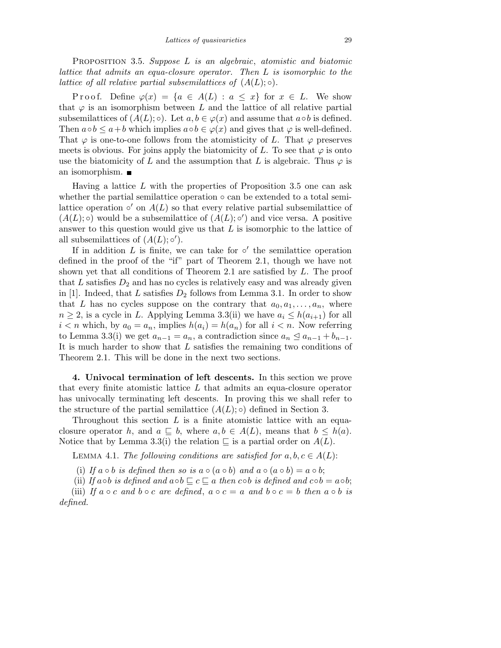PROPOSITION 3.5. Suppose L is an algebraic, atomistic and biatomic lattice that admits an equa-closure operator. Then L is isomorphic to the lattice of all relative partial subsemilattices of  $(A(L);\circ)$ .

P r o o f. Define  $\varphi(x) = \{a \in A(L) : a \leq x\}$  for  $x \in L$ . We show that  $\varphi$  is an isomorphism between L and the lattice of all relative partial subsemilattices of  $(A(L); \circ)$ . Let  $a, b \in \varphi(x)$  and assume that  $a \circ b$  is defined. Then  $a \circ b \leq a + b$  which implies  $a \circ b \in \varphi(x)$  and gives that  $\varphi$  is well-defined. That  $\varphi$  is one-to-one follows from the atomisticity of L. That  $\varphi$  preserves meets is obvious. For joins apply the biatomicity of L. To see that  $\varphi$  is onto use the biatomicity of L and the assumption that L is algebraic. Thus  $\varphi$  is an isomorphism.

Having a lattice  $L$  with the properties of Proposition 3.5 one can ask whether the partial semilattice operation ◦ can be extended to a total semilattice operation  $\circ'$  on  $A(L)$  so that every relative partial subsemilattice of  $(A(L); \circ)$  would be a subsemilattice of  $(A(L); \circ')$  and vice versa. A positive answer to this question would give us that L is isomorphic to the lattice of all subsemilattices of  $(A(L); \circ')$ .

If in addition  $L$  is finite, we can take for  $\circ'$  the semilattice operation defined in the proof of the "if" part of Theorem 2.1, though we have not shown yet that all conditions of Theorem 2.1 are satisfied by  $L$ . The proof that  $L$  satisfies  $D_2$  and has no cycles is relatively easy and was already given in [1]. Indeed, that L satisfies  $D_2$  follows from Lemma 3.1. In order to show that L has no cycles suppose on the contrary that  $a_0, a_1, \ldots, a_n$ , where  $n \geq 2$ , is a cycle in L. Applying Lemma 3.3(ii) we have  $a_i \leq h(a_{i+1})$  for all  $i < n$  which, by  $a_0 = a_n$ , implies  $h(a_i) = h(a_n)$  for all  $i < n$ . Now referring to Lemma 3.3(i) we get  $a_{n-1} = a_n$ , a contradiction since  $a_n \le a_{n-1} + b_{n-1}$ . It is much harder to show that L satisfies the remaining two conditions of Theorem 2.1. This will be done in the next two sections.

4. Univocal termination of left descents. In this section we prove that every finite atomistic lattice  $L$  that admits an equa-closure operator has univocally terminating left descents. In proving this we shall refer to the structure of the partial semilattice  $(A(L);\circ)$  defined in Section 3.

Throughout this section  $L$  is a finite atomistic lattice with an equaclosure operator h, and  $a \subseteq b$ , where  $a, b \in A(L)$ , means that  $b \leq h(a)$ . Notice that by Lemma 3.3(i) the relation  $\subseteq$  is a partial order on  $A(L)$ .

LEMMA 4.1. The following conditions are satisfied for  $a, b, c \in A(L)$ :

- (i) If  $a \circ b$  is defined then so is  $a \circ (a \circ b)$  and  $a \circ (a \circ b) = a \circ b$ ;
- (ii) If a∘b is defined and a∘b  $\sqsubseteq c \sqsubseteq a$  then c∘b is defined and c∘b = a∘b;

(iii) If  $a \circ c$  and  $b \circ c$  are defined,  $a \circ c = a$  and  $b \circ c = b$  then  $a \circ b$  is defined.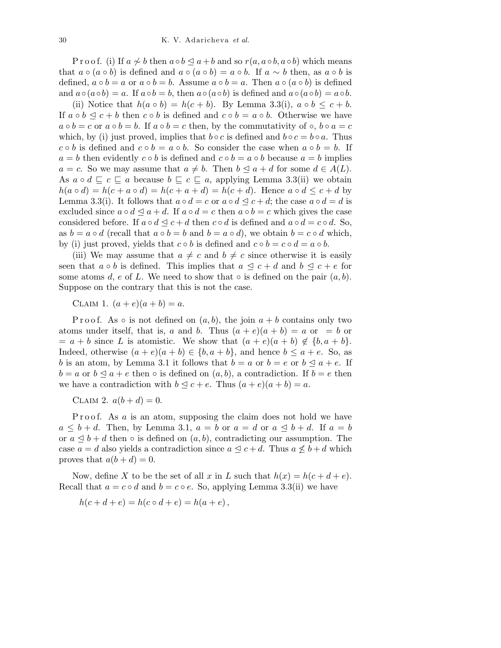P r o o f. (i) If  $a \nsim b$  then  $a \circ b \leq a+b$  and so  $r(a, a \circ b, a \circ b)$  which means that  $a \circ (a \circ b)$  is defined and  $a \circ (a \circ b) = a \circ b$ . If  $a \sim b$  then, as  $a \circ b$  is defined,  $a \circ b = a$  or  $a \circ b = b$ . Assume  $a \circ b = a$ . Then  $a \circ (a \circ b)$  is defined and  $a \circ (a \circ b) = a$ . If  $a \circ b = b$ , then  $a \circ (a \circ b)$  is defined and  $a \circ (a \circ b) = a \circ b$ .

(ii) Notice that  $h(a \circ b) = h(c + b)$ . By Lemma 3.3(i),  $a \circ b \leq c + b$ . If  $a \circ b \preceq c + b$  then  $c \circ b$  is defined and  $c \circ b = a \circ b$ . Otherwise we have  $a \circ b = c$  or  $a \circ b = b$ . If  $a \circ b = c$  then, by the commutativity of  $\circ$ ,  $b \circ a = c$ which, by (i) just proved, implies that  $b \circ c$  is defined and  $b \circ c = b \circ a$ . Thus  $c \circ b$  is defined and  $c \circ b = a \circ b$ . So consider the case when  $a \circ b = b$ . If  $a = b$  then evidently  $c \circ b$  is defined and  $c \circ b = a \circ b$  because  $a = b$  implies  $a = c$ . So we may assume that  $a \neq b$ . Then  $b \leq a + d$  for some  $d \in A(L)$ . As  $a \circ d \sqsubseteq c \sqsubseteq a$  because  $b \sqsubseteq c \sqsubseteq a$ , applying Lemma 3.3(ii) we obtain  $h(a \circ d) = h(c + a \circ d) = h(c + a + d) = h(c + d)$ . Hence  $a \circ d \leq c + d$  by Lemma 3.3(i). It follows that  $a \circ d = c$  or  $a \circ d \leq c + d$ ; the case  $a \circ d = d$  is excluded since  $a \circ d \le a + d$ . If  $a \circ d = c$  then  $a \circ b = c$  which gives the case considered before. If  $a \circ d \leq c + d$  then  $c \circ d$  is defined and  $a \circ d = c \circ d$ . So, as  $b = a \circ d$  (recall that  $a \circ b = b$  and  $b = a \circ d$ ), we obtain  $b = c \circ d$  which, by (i) just proved, yields that  $c \circ b$  is defined and  $c \circ b = c \circ d = a \circ b$ .

(iii) We may assume that  $a \neq c$  and  $b \neq c$  since otherwise it is easily seen that  $a \circ b$  is defined. This implies that  $a \leq c + d$  and  $b \leq c + e$  for some atoms d, e of L. We need to show that  $\circ$  is defined on the pair  $(a, b)$ . Suppose on the contrary that this is not the case.

CLAIM 1.  $(a + e)(a + b) = a$ .

P r o o f. As  $\circ$  is not defined on  $(a, b)$ , the join  $a + b$  contains only two atoms under itself, that is, a and b. Thus  $(a + e)(a + b) = a$  or  $= b$  or  $= a + b$  since L is atomistic. We show that  $(a + e)(a + b) \notin \{b, a + b\}.$ Indeed, otherwise  $(a + e)(a + b) \in \{b, a + b\}$ , and hence  $b \le a + e$ . So, as b is an atom, by Lemma 3.1 it follows that  $b = a$  or  $b = e$  or  $b \le a + e$ . If  $b = a$  or  $b \le a + e$  then  $\circ$  is defined on  $(a, b)$ , a contradiction. If  $b = e$  then we have a contradiction with  $b \leq c + e$ . Thus  $(a + e)(a + b) = a$ .

CLAIM 2.  $a(b+d) = 0$ .

P r o o f. As  $a$  is an atom, supposing the claim does not hold we have  $a \leq b + d$ . Then, by Lemma 3.1,  $a = b$  or  $a = d$  or  $a \leq b + d$ . If  $a = b$ or  $a \leq b + d$  then  $\circ$  is defined on  $(a, b)$ , contradicting our assumption. The case  $a = d$  also yields a contradiction since  $a \leq c + d$ . Thus  $a \nleq b + d$  which proves that  $a(b+d) = 0$ .

Now, define X to be the set of all x in L such that  $h(x) = h(c + d + e)$ . Recall that  $a = c \circ d$  and  $b = c \circ e$ . So, applying Lemma 3.3(ii) we have

$$
h(c + d + e) = h(c \circ d + e) = h(a + e),
$$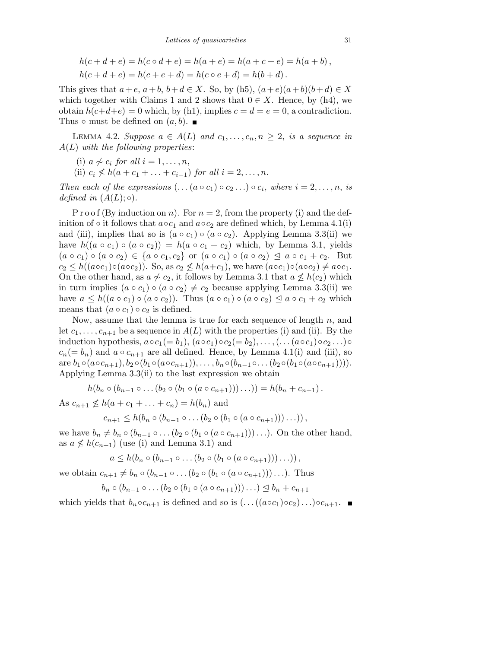$$
h(c + d + e) = h(c \circ d + e) = h(a + e) = h(a + c + e) = h(a + b),
$$
  

$$
h(c + d + e) = h(c + e + d) = h(c \circ e + d) = h(b + d).
$$

This gives that  $a+e$ ,  $a+b$ ,  $b+d \in X$ . So, by (h5),  $(a+e)(a+b)(b+d) \in X$ which together with Claims 1 and 2 shows that  $0 \in X$ . Hence, by (h4), we obtain  $h(c+d+e) = 0$  which, by (h1), implies  $c = d = e = 0$ , a contradiction. Thus  $\circ$  must be defined on  $(a, b)$ .

LEMMA 4.2. Suppose  $a \in A(L)$  and  $c_1, \ldots, c_n, n \geq 2$ , is a sequence in  $A(L)$  with the following properties:

- (i)  $a \nsim c_i$  for all  $i = 1, \ldots, n$ ,
- (ii)  $c_i \nless h(a + c_1 + \ldots + c_{i-1})$  for all  $i = 2, \ldots, n$ .

Then each of the expressions  $(\ldots(a \circ c_1) \circ c_2 \ldots) \circ c_i$ , where  $i = 2, \ldots, n$ , is defined in  $(A(L);\circ)$ .

P r o o f (By induction on n). For  $n = 2$ , from the property (i) and the definition of ∘ it follows that  $a \circ c_1$  and  $a \circ c_2$  are defined which, by Lemma 4.1(i) and (iii), implies that so is  $(a \circ c_1) \circ (a \circ c_2)$ . Applying Lemma 3.3(ii) we have  $h((a \circ c_1) \circ (a \circ c_2)) = h(a \circ c_1 + c_2)$  which, by Lemma 3.1, yields  $(a \circ c_1) \circ (a \circ c_2) \in \{a \circ c_1, c_2\}$  or  $(a \circ c_1) \circ (a \circ c_2) \leq a \circ c_1 + c_2$ . But  $c_2 \leq h((a \circ c_1) \circ (a \circ c_2))$ . So, as  $c_2 \nleq h(a+c_1)$ , we have  $(a \circ c_1) \circ (a \circ c_2) \neq a \circ c_1$ . On the other hand, as  $a \nsim c_2$ , it follows by Lemma 3.1 that  $a \nleq h(c_2)$  which in turn implies  $(a \circ c_1) \circ (a \circ c_2) \neq c_2$  because applying Lemma 3.3(ii) we have  $a \leq h((a \circ c_1) \circ (a \circ c_2))$ . Thus  $(a \circ c_1) \circ (a \circ c_2) \leq a \circ c_1 + c_2$  which means that  $(a \circ c_1) \circ c_2$  is defined.

Now, assume that the lemma is true for each sequence of length  $n$ , and let  $c_1, \ldots, c_{n+1}$  be a sequence in  $A(L)$  with the properties (i) and (ii). By the induction hypothesis,  $a \circ c_1(= b_1)$ ,  $(a \circ c_1) \circ c_2(= b_2)$ ,..., $(... (a \circ c_1) \circ c_2...) \circ$  $c_n(= b_n)$  and  $a \circ c_{n+1}$  are all defined. Hence, by Lemma 4.1(i) and (iii), so are  $b_1 \circ (a \circ c_{n+1}), b_2 \circ (b_1 \circ (a \circ c_{n+1})), \ldots, b_n \circ (b_{n-1} \circ \ldots (b_2 \circ (b_1 \circ (a \circ c_{n+1}))).$ Applying Lemma 3.3(ii) to the last expression we obtain

$$
h(b_n \circ (b_{n-1} \circ \ldots (b_2 \circ (b_1 \circ (a \circ c_{n+1})))\ldots)) = h(b_n + c_{n+1}).
$$

As  $c_{n+1} \nleq h(a + c_1 + \ldots + c_n) = h(b_n)$  and

$$
c_{n+1} \leq h(b_n \circ (b_{n-1} \circ \dots (b_2 \circ (b_1 \circ (a \circ c_{n+1})))\dots)),
$$

we have  $b_n \neq b_n \circ (b_{n-1} \circ \ldots (b_2 \circ (b_1 \circ (a \circ c_{n+1}))) \ldots)$ . On the other hand, as  $a \nleq h(c_{n+1})$  (use (i) and Lemma 3.1) and

$$
a \leq h(b_n \circ (b_{n-1} \circ \dots (b_2 \circ (b_1 \circ (a \circ c_{n+1})))\dots)),
$$

we obtain  $c_{n+1} \neq b_n \circ (b_{n-1} \circ \dots (b_2 \circ (b_1 \circ (a \circ c_{n+1})))\dots)$ . Thus

$$
b_n \circ (b_{n-1} \circ \ldots (b_2 \circ (b_1 \circ (a \circ c_{n+1}))) \ldots ) \leq b_n + c_{n+1}
$$

which yields that  $b_n \circ c_{n+1}$  is defined and so is  $(\ldots((a \circ c_1) \circ c_2) \ldots) \circ c_{n+1}$ .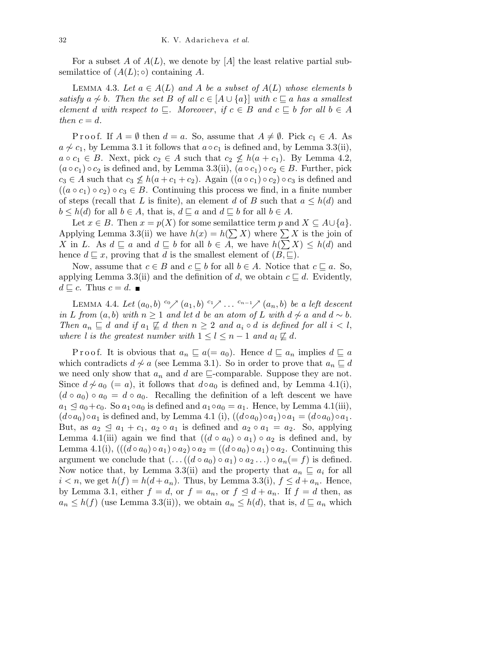For a subset A of  $A(L)$ , we denote by [A] the least relative partial subsemilattice of  $(A(L);\circ)$  containing A.

LEMMA 4.3. Let  $a \in A(L)$  and A be a subset of  $A(L)$  whose elements b satisfy  $a \nsim b$ . Then the set B of all  $c \in [A \cup \{a\}]$  with  $c \sqsubseteq a$  has a smallest element d with respect to  $\Box$ . Moreover, if  $c \in B$  and  $c \Box b$  for all  $b \in A$ then  $c = d$ .

P r o o f. If  $A = \emptyset$  then  $d = a$ . So, assume that  $A \neq \emptyset$ . Pick  $c_1 \in A$ . As  $a \nsim c_1$ , by Lemma 3.1 it follows that  $a \circ c_1$  is defined and, by Lemma 3.3(ii),  $a \circ c_1 \in B$ . Next, pick  $c_2 \in A$  such that  $c_2 \nleq h(a + c_1)$ . By Lemma 4.2,  $(a \circ c_1) \circ c_2$  is defined and, by Lemma 3.3(ii),  $(a \circ c_1) \circ c_2 \in B$ . Further, pick  $c_3 \in A$  such that  $c_3 \nleq h(a + c_1 + c_2)$ . Again  $((a \circ c_1) \circ c_2) \circ c_3$  is defined and  $((a \circ c_1) \circ c_2) \circ c_3 \in B$ . Continuing this process we find, in a finite number of steps (recall that L is finite), an element d of B such that  $a \leq h(d)$  and  $b \leq h(d)$  for all  $b \in A$ , that is,  $d \sqsubseteq a$  and  $d \sqsubseteq b$  for all  $b \in A$ .

Let  $x \in B$ . Then  $x = p(X)$  for some semilattice term p and  $X \subseteq A \cup \{a\}$ . Applying Lemma 3.3(ii) we have  $h(x) = h(\sum X)$  where  $\sum X$  is the join of X in L. As  $d \sqsubseteq a$  and  $d \sqsubseteq b$  for all  $b \in A$ , we have  $h(\sum X) \leq h(d)$  and hence  $d \sqsubseteq x$ , proving that d is the smallest element of  $(B, \sqsubseteq)$ .

Now, assume that  $c \in B$  and  $c \sqsubseteq b$  for all  $b \in A$ . Notice that  $c \sqsubseteq a$ . So, applying Lemma 3.3(ii) and the definition of d, we obtain  $c \sqsubseteq d$ . Evidently,  $d \sqsubseteq c$ . Thus  $c = d$ .

LEMMA 4.4. Let  $(a_0, b)$  <sup>c</sup>o $\nearrow$   $(a_1, b)$  <sup>c<sub>1</sub> $\nearrow$ </sup> ... <sup>c<sub>n-1</sub> $\nearrow$ </sup>  $(a_n, b)$  be a left descent in L from  $(a, b)$  with  $n \ge 1$  and let d be an atom of L with  $d \sim a$  and  $d \sim b$ . Then  $a_n \sqsubseteq d$  and if  $a_1 \not\sqsubseteq d$  then  $n \geq 2$  and  $a_i \circ d$  is defined for all  $i < l$ , where l is the greatest number with  $1 \leq l \leq n-1$  and  $a_l \not\sqsubseteq d$ .

P r o o f. It is obvious that  $a_n \subseteq a (= a_0)$ . Hence  $d \subseteq a_n$  implies  $d \subseteq a$ which contradicts  $d \nsim a$  (see Lemma 3.1). So in order to prove that  $a_n \sqsubseteq d$ we need only show that  $a_n$  and d are  $\sqsubseteq$ -comparable. Suppose they are not. Since  $d \not\sim a_0$  (= a), it follows that  $d \circ a_0$  is defined and, by Lemma 4.1(i),  $(d \circ a_0) \circ a_0 = d \circ a_0$ . Recalling the definition of a left descent we have  $a_1 \le a_0+c_0$ . So  $a_1 \circ a_0$  is defined and  $a_1 \circ a_0 = a_1$ . Hence, by Lemma 4.1(iii),  $(d \circ a_0) \circ a_1$  is defined and, by Lemma 4.1 (i),  $((d \circ a_0) \circ a_1) \circ a_1 = (d \circ a_0) \circ a_1$ . But, as  $a_2 \leq a_1 + c_1$ ,  $a_2 \circ a_1$  is defined and  $a_2 \circ a_1 = a_2$ . So, applying Lemma 4.1(iii) again we find that  $((d \circ a_0) \circ a_1) \circ a_2$  is defined and, by Lemma 4.1(i),  $(((d \circ a_0) \circ a_1) \circ a_2) \circ a_2 = ((d \circ a_0) \circ a_1) \circ a_2$ . Continuing this argument we conclude that  $(\ldots((d \circ a_0) \circ a_1) \circ a_2 \ldots) \circ a_n(=f)$  is defined. Now notice that, by Lemma 3.3(ii) and the property that  $a_n \subseteq a_i$  for all  $i < n$ , we get  $h(f) = h(d + a_n)$ . Thus, by Lemma 3.3(i),  $f \leq d + a_n$ . Hence, by Lemma 3.1, either  $f = d$ , or  $f = a_n$ , or  $f \leq d + a_n$ . If  $f = d$  then, as  $a_n \leq h(f)$  (use Lemma 3.3(ii)), we obtain  $a_n \leq h(d)$ , that is,  $d \sqsubseteq a_n$  which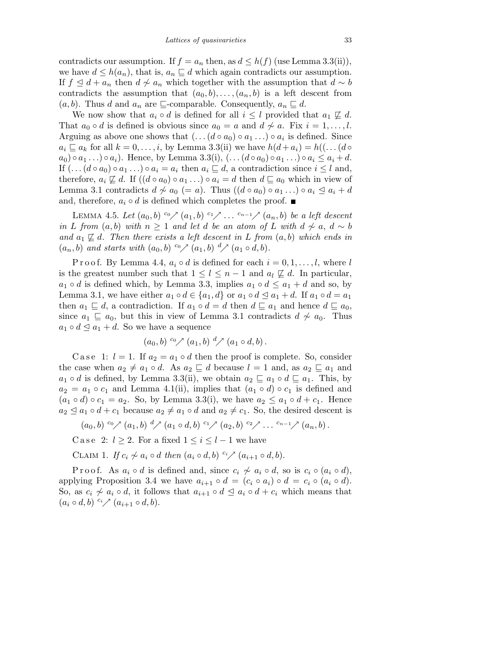contradicts our assumption. If  $f = a_n$  then, as  $d \leq h(f)$  (use Lemma 3.3(ii)), we have  $d \leq h(a_n)$ , that is,  $a_n \sqsubseteq d$  which again contradicts our assumption. If  $f \leq d + a_n$  then  $d \sim a_n$  which together with the assumption that  $d \sim b$ contradicts the assumption that  $(a_0,b),\ldots,(a_n,b)$  is a left descent from  $(a, b)$ . Thus d and  $a_n$  are  $\sqsubseteq$ -comparable. Consequently,  $a_n \sqsubseteq d$ .

We now show that  $a_i \circ d$  is defined for all  $i \leq l$  provided that  $a_1 \not\sqsubseteq d$ . That  $a_0 \circ d$  is defined is obvious since  $a_0 = a$  and  $d \nsim a$ . Fix  $i = 1, \ldots, l$ . Arguing as above one shows that  $(\ldots(d \circ a_0) \circ a_1 \ldots) \circ a_i$  is defined. Since  $a_i \sqsubseteq a_k$  for all  $k = 0, \ldots, i$ , by Lemma 3.3(ii) we have  $h(d + a_i) = h((\ldots(d \circ$  $a_0 \circ a_1 \ldots \circ a_i$ ). Hence, by Lemma 3.3(i),  $(\ldots (d \circ a_0) \circ a_1 \ldots) \circ a_i \leq a_i + d$ . If  $(\ldots(d \circ a_0) \circ a_1 \ldots) \circ a_i = a_i$  then  $a_i \sqsubseteq d$ , a contradiction since  $i \leq l$  and, therefore,  $a_i \not\sqsubseteq d$ . If  $((d \circ a_0) \circ a_1 \dots) \circ a_i = d$  then  $d \sqsubseteq a_0$  which in view of Lemma 3.1 contradicts  $d \not\sim a_0 (= a)$ . Thus  $((d \circ a_0) \circ a_1 ... ) \circ a_i \leq a_i + d$ and, therefore,  $a_i \circ d$  is defined which completes the proof.  $\blacksquare$ 

LEMMA 4.5. Let  $(a_0, b)$  <sup>c</sup>o $\nearrow$   $(a_1, b)$  <sup>c</sup><sup>1</sup> $\nearrow$  ... <sup>c<sub>n-1</sub> $\nearrow$ </sup>  $(a_n, b)$  be a left descent in L from  $(a,b)$  with  $n \geq 1$  and let d be an atom of L with  $d \nless a, d \sim b$ and  $a_1 \not\sqsubseteq d$ . Then there exists a left descent in L from  $(a,b)$  which ends in  $(a_n, b)$  and starts with  $(a_0, b)$  <sup>c</sup> $\nearrow$   $(a_1, b)$  <sup>d</sup> $\nearrow$   $(a_1 \circ d, b)$ .

P r o o f. By Lemma 4.4,  $a_i \circ d$  is defined for each  $i = 0, 1, \ldots, l$ , where l is the greatest number such that  $1 \leq l \leq n-1$  and  $a_l \not\sqsubseteq d$ . In particular,  $a_1 \circ d$  is defined which, by Lemma 3.3, implies  $a_1 \circ d \le a_1 + d$  and so, by Lemma 3.1, we have either  $a_1 \circ d \in \{a_1, d\}$  or  $a_1 \circ d \le a_1 + d$ . If  $a_1 \circ d = a_1$ then  $a_1 \subseteq d$ , a contradiction. If  $a_1 \circ d = d$  then  $d \subseteq a_1$  and hence  $d \subseteq a_0$ , since  $a_1 \subseteq a_0$ , but this in view of Lemma 3.1 contradicts  $d \nsim a_0$ . Thus  $a_1 \circ d \leq a_1 + d$ . So we have a sequence

$$
(a_0, b) \ ^{c_0} \nearrow (a_1, b) \ \ ^{d} \nearrow (a_1 \circ d, b).
$$

C a s e 1:  $l = 1$ . If  $a_2 = a_1 \circ d$  then the proof is complete. So, consider the case when  $a_2 \neq a_1 \circ d$ . As  $a_2 \sqsubseteq d$  because  $l = 1$  and, as  $a_2 \sqsubseteq a_1$  and  $a_1 \circ d$  is defined, by Lemma 3.3(ii), we obtain  $a_2 \sqsubseteq a_1 \circ d \sqsubseteq a_1$ . This, by  $a_2 = a_1 \circ c_1$  and Lemma 4.1(ii), implies that  $(a_1 \circ d) \circ c_1$  is defined and  $(a_1 \circ d) \circ c_1 = a_2$ . So, by Lemma 3.3(i), we have  $a_2 \le a_1 \circ d + c_1$ . Hence  $a_2 \leq a_1 \circ d + c_1$  because  $a_2 \neq a_1 \circ d$  and  $a_2 \neq c_1$ . So, the desired descent is

$$
(a_0,b) \overset{c_0}{\sim} (a_1,b) \overset{d}{\sim} (a_1 \circ d,b) \overset{c_1}{\sim} (a_2,b) \overset{c_2}{\sim} \dots \overset{c_{n-1}}{\sim} (a_n,b).
$$

C a se 2:  $l > 2$ . For a fixed  $1 \leq i \leq l-1$  we have

CLAIM 1. If  $c_i \nsim a_i \circ d$  then  $(a_i \circ d, b) \circ \infty$   $(a_{i+1} \circ d, b)$ .

P r o o f. As  $a_i \circ d$  is defined and, since  $c_i \not\sim a_i \circ d$ , so is  $c_i \circ (a_i \circ d)$ , applying Proposition 3.4 we have  $a_{i+1} \circ d = (c_i \circ a_i) \circ d = c_i \circ (a_i \circ d)$ . So, as  $c_i \nsim a_i \circ d$ , it follows that  $a_{i+1} \circ d \leq a_i \circ d + c_i$  which means that  $(a_i \circ d, b) \ ^{c_i} \nearrow (a_{i+1} \circ d, b).$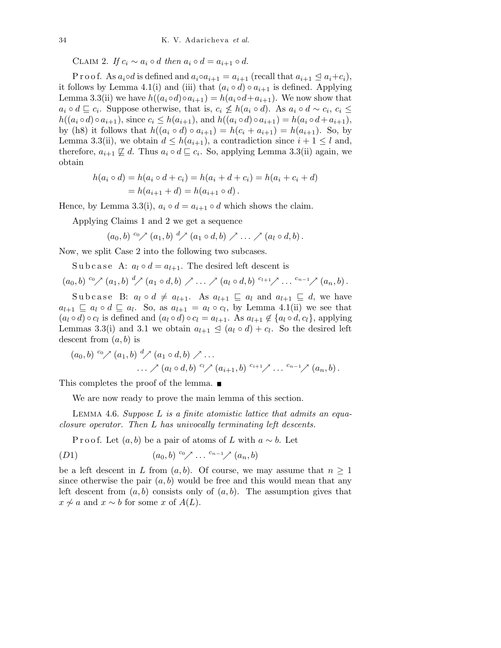CLAIM 2. If  $c_i \sim a_i \circ d$  then  $a_i \circ d = a_{i+1} \circ d$ .

P r o o f. As  $a_i \circ d$  is defined and  $a_i \circ a_{i+1} = a_{i+1}$  (recall that  $a_{i+1} \leq a_i + c_i$ ), it follows by Lemma 4.1(i) and (iii) that  $(a_i \circ d) \circ a_{i+1}$  is defined. Applying Lemma 3.3(ii) we have  $h((a_i \circ d) \circ a_{i+1}) = h(a_i \circ d + a_{i+1})$ . We now show that  $a_i \circ d \sqsubseteq c_i$ . Suppose otherwise, that is,  $c_i \not\leq h(a_i \circ d)$ . As  $a_i \circ d \sim c_i$ ,  $c_i \leq$  $h((a_i \circ d) \circ a_{i+1}),$  since  $c_i \leq h(a_{i+1}),$  and  $h((a_i \circ d) \circ a_{i+1}) = h(a_i \circ d + a_{i+1}),$ by (h8) it follows that  $h((a_i \circ d) \circ a_{i+1}) = h(c_i + a_{i+1}) = h(a_{i+1})$ . So, by Lemma 3.3(ii), we obtain  $d \leq h(a_{i+1})$ , a contradiction since  $i+1 \leq l$  and, therefore,  $a_{i+1} \not\sqsubseteq d$ . Thus  $a_i \circ d \sqsubseteq c_i$ . So, applying Lemma 3.3(ii) again, we obtain

$$
h(a_i \circ d) = h(a_i \circ d + c_i) = h(a_i + d + c_i) = h(a_i + c_i + d)
$$
  
=  $h(a_{i+1} + d) = h(a_{i+1} \circ d)$ .

Hence, by Lemma 3.3(i),  $a_i \circ d = a_{i+1} \circ d$  which shows the claim.

Applying Claims 1 and 2 we get a sequence

 $(a_0, b) \ ^{c_0} \nearrow (a_1, b) \ ^{d} \nearrow (a_1 \circ d, b) \nearrow \dots \nearrow (a_l \circ d, b).$ 

Now, we split Case 2 into the following two subcases.

Subcase A:  $a_l \circ d = a_{l+1}$ . The desired left descent is

$$
(a_0,b) \overset{c_0}{\sim} (a_1,b) \overset{d}{\sim} (a_1 \circ d,b) \nearrow \ldots \nearrow (a_l \circ d,b) \overset{c_{l+1}}{\sim} \ldots \overset{c_{n-1}}{\sim} (a_n,b).
$$

Subcase B:  $a_l \circ d \neq a_{l+1}$ . As  $a_{l+1} \sqsubseteq a_l$  and  $a_{l+1} \sqsubseteq d$ , we have  $a_{l+1} \sqsubseteq a_l \circ d \sqsubseteq a_l$ . So, as  $a_{l+1} = a_l \circ c_l$ , by Lemma 4.1(ii) we see that  $(a_l \circ d) \circ c_l$  is defined and  $(a_l \circ d) \circ c_l = a_{l+1}$ . As  $a_{l+1} \notin \{a_l \circ d, c_l\}$ , applying Lemmas 3.3(i) and 3.1 we obtain  $a_{l+1} \leq (a_l \circ d) + c_l$ . So the desired left descent from  $(a,b)$  is

$$
(a_0, b) ^{c_0} \nearrow (a_1, b) ^{d} \nearrow (a_1 \circ d, b) \nearrow ...
$$
  
  $\qquad \qquad ... \nearrow (a_l \circ d, b) ^{c_l} \nearrow (a_{i+1}, b) ^{c_{i+1}} \nearrow ... ^{c_{n-1}} \nearrow (a_n, b).$ 

This completes the proof of the lemma.  $\blacksquare$ 

We are now ready to prove the main lemma of this section.

LEMMA 4.6. Suppose  $L$  is a finite atomistic lattice that admits an equaclosure operator. Then L has univocally terminating left descents.

P r o o f. Let  $(a, b)$  be a pair of atoms of L with  $a \sim b$ . Let

$$
(D1) \qquad (a_0, b) \, \overset{c_0}{\sim} \, \dots \, \overset{c_{n-1}}{\sim} \, (a_n, b)
$$

be a left descent in L from  $(a,b)$ . Of course, we may assume that  $n \geq 1$ since otherwise the pair  $(a, b)$  would be free and this would mean that any left descent from  $(a,b)$  consists only of  $(a,b)$ . The assumption gives that  $x \nsim a$  and  $x \sim b$  for some x of  $A(L)$ .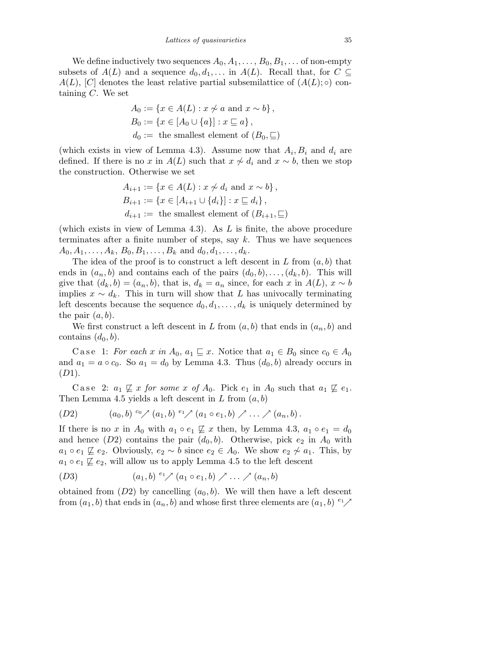We define inductively two sequences  $A_0, A_1, \ldots, B_0, B_1, \ldots$  of non-empty subsets of  $A(L)$  and a sequence  $d_0, d_1,...$  in  $A(L)$ . Recall that, for  $C \subseteq$  $A(L)$ , [C] denotes the least relative partial subsemilattice of  $(A(L);\circ)$  containing  $C$ . We set

$$
A_0 := \{ x \in A(L) : x \not\sim a \text{ and } x \sim b \},
$$
  
\n
$$
B_0 := \{ x \in [A_0 \cup \{a\}] : x \sqsubseteq a \},
$$
  
\n
$$
d_0 := \text{the smallest element of } (B_0, \sqsubseteq)
$$

(which exists in view of Lemma 4.3). Assume now that  $A_i, B_i$  and  $d_i$  are defined. If there is no x in  $A(L)$  such that  $x \sim d_i$  and  $x \sim b$ , then we stop the construction. Otherwise we set

$$
A_{i+1} := \{x \in A(L) : x \not\sim d_i \text{ and } x \sim b\},\
$$
  
\n
$$
B_{i+1} := \{x \in [A_{i+1} \cup \{d_i\}] : x \sqsubseteq d_i\},\
$$
  
\n
$$
d_{i+1} := \text{the smallest element of } (B_{i+1}, \sqsubseteq)
$$

(which exists in view of Lemma 4.3). As  $L$  is finite, the above procedure terminates after a finite number of steps, say  $k$ . Thus we have sequences  $A_0, A_1, \ldots, A_k, B_0, B_1, \ldots, B_k$  and  $d_0, d_1, \ldots, d_k$ .

The idea of the proof is to construct a left descent in  $L$  from  $(a, b)$  that ends in  $(a_n, b)$  and contains each of the pairs  $(d_0, b), \ldots, (d_k, b)$ . This will give that  $(d_k, b) = (a_n, b)$ , that is,  $d_k = a_n$  since, for each x in  $A(L)$ ,  $x \sim b$ implies  $x \sim d_k$ . This in turn will show that L has univocally terminating left descents because the sequence  $d_0, d_1, \ldots, d_k$  is uniquely determined by the pair  $(a, b)$ .

We first construct a left descent in L from  $(a, b)$  that ends in  $(a_n, b)$  and contains  $(d_0, b)$ .

C a se 1: For each x in  $A_0$ ,  $a_1 \subseteq x$ . Notice that  $a_1 \in B_0$  since  $c_0 \in A_0$ and  $a_1 = a \circ c_0$ . So  $a_1 = d_0$  by Lemma 4.3. Thus  $(d_0, b)$  already occurs in  $(D1).$ 

Case 2:  $a_1 \not\sqsubseteq x$  for some x of  $A_0$ . Pick  $e_1$  in  $A_0$  such that  $a_1 \not\sqsubseteq e_1$ . Then Lemma 4.5 yields a left descent in L from  $(a, b)$ 

(D2) 
$$
(a_0, b) \ ^{c_0} \nearrow (a_1, b) \ ^{e_1} \nearrow (a_1 \circ e_1, b) \nearrow \dots \nearrow (a_n, b).
$$

If there is no x in  $A_0$  with  $a_1 \circ e_1 \not\sqsubseteq x$  then, by Lemma 4.3,  $a_1 \circ e_1 = d_0$ and hence  $(D2)$  contains the pair  $(d_0, b)$ . Otherwise, pick  $e_2$  in  $A_0$  with  $a_1 \circ e_1 \not\sqsubseteq e_2$ . Obviously,  $e_2 \sim b$  since  $e_2 \in A_0$ . We show  $e_2 \not\sim a_1$ . This, by  $a_1 \circ e_1 \not\sqsubseteq e_2$ , will allow us to apply Lemma 4.5 to the left descent

$$
(D3) \qquad (a_1, b) \ ^{e_1} \nearrow (a_1 \circ e_1, b) \nearrow \dots \nearrow (a_n, b)
$$

obtained from  $(D2)$  by cancelling  $(a_0, b)$ . We will then have a left descent from  $(a_1, b)$  that ends in  $(a_n, b)$  and whose first three elements are  $(a_1, b)$  <sup>e<sub>1</sub></sup>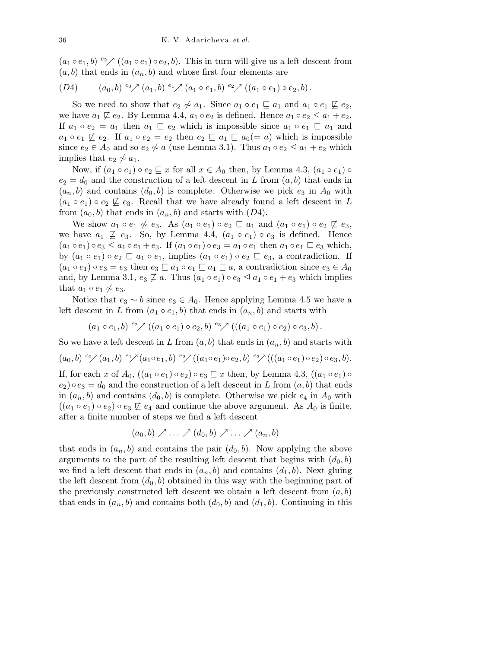$(a_1 \circ e_1, b) \overset{e_2}{\sim} ((a_1 \circ e_1) \circ e_2, b)$ . This in turn will give us a left descent from  $(a,b)$  that ends in  $(a_n,b)$  and whose first four elements are

$$
(D4) \qquad (a_0,b) \, \overset{c_0}{\sim} \, (a_1,b) \, \overset{e_1}{\sim} \, (a_1 \circ e_1,b) \, \overset{e_2}{\sim} \, ((a_1 \circ e_1) \circ e_2,b).
$$

So we need to show that  $e_2 \not\sim a_1$ . Since  $a_1 \circ e_1 \sqsubseteq a_1$  and  $a_1 \circ e_1 \not\sqsubseteq e_2$ , we have  $a_1 \not\sqsubseteq e_2$ . By Lemma 4.4,  $a_1 \circ e_2$  is defined. Hence  $a_1 \circ e_2 \leq a_1 + e_2$ . If  $a_1 \circ e_2 = a_1$  then  $a_1 \subseteq e_2$  which is impossible since  $a_1 \circ e_1 \subseteq a_1$  and  $a_1 \circ e_1 \not\sqsubseteq e_2$ . If  $a_1 \circ e_2 = e_2$  then  $e_2 \sqsubseteq a_1 \sqsubseteq a_0 (= a)$  which is impossible since  $e_2 \in A_0$  and so  $e_2 \nsim a$  (use Lemma 3.1). Thus  $a_1 \circ e_2 \le a_1 + e_2$  which implies that  $e_2 \not\sim a_1$ .

Now, if  $(a_1 \circ e_1) \circ e_2 \sqsubseteq x$  for all  $x \in A_0$  then, by Lemma 4.3,  $(a_1 \circ e_1) \circ$  $e_2 = d_0$  and the construction of a left descent in L from  $(a, b)$  that ends in  $(a_n, b)$  and contains  $(d_0, b)$  is complete. Otherwise we pick  $e_3$  in  $A_0$  with  $(a_1 \circ e_1) \circ e_2 \not\sqsubseteq e_3$ . Recall that we have already found a left descent in L from  $(a_0, b)$  that ends in  $(a_n, b)$  and starts with  $(D4)$ .

We show  $a_1 \circ e_1 \not\sim e_3$ . As  $(a_1 \circ e_1) \circ e_2 \sqsubseteq a_1$  and  $(a_1 \circ e_1) \circ e_2 \not\sqsubseteq e_3$ , we have  $a_1 \not\sqsubseteq e_3$ . So, by Lemma 4.4,  $(a_1 \circ e_1) \circ e_3$  is defined. Hence  $(a_1 \circ e_1) \circ e_3 \leq a_1 \circ e_1 + e_3$ . If  $(a_1 \circ e_1) \circ e_3 = a_1 \circ e_1$  then  $a_1 \circ e_1 \sqsubseteq e_3$  which, by  $(a_1 \circ e_1) \circ e_2 \sqsubseteq a_1 \circ e_1$ , implies  $(a_1 \circ e_1) \circ e_2 \sqsubseteq e_3$ , a contradiction. If  $(a_1 \circ e_1) \circ e_3 = e_3$  then  $e_3 \sqsubseteq a_1 \circ e_1 \sqsubseteq a_1 \sqsubseteq a$ , a contradiction since  $e_3 \in A_0$ and, by Lemma 3.1,  $e_3 \not\sqsubseteq a$ . Thus  $(a_1 \circ e_1) \circ e_3 \preceq a_1 \circ e_1 + e_3$  which implies that  $a_1 \circ e_1 \not\sim e_3$ .

Notice that  $e_3 \sim b$  since  $e_3 \in A_0$ . Hence applying Lemma 4.5 we have a left descent in L from  $(a_1 \circ e_1, b)$  that ends in  $(a_n, b)$  and starts with

 $(a_1 \circ e_1, b) \ ^{e_2} \nearrow ((a_1 \circ e_1) \circ e_2, b) \ ^{e_3} \nearrow (((a_1 \circ e_1) \circ e_2) \circ e_3, b).$ 

So we have a left descent in L from  $(a, b)$  that ends in  $(a_n, b)$  and starts with

 $(a_0, b) \overset{c_0}{\sim} (a_1, b) \overset{e_1}{\sim} (a_1 \circ e_1, b) \overset{e_2}{\sim} ((a_1 \circ e_1) \circ e_2, b) \overset{e_3}{\sim} (((a_1 \circ e_1) \circ e_2) \circ e_3, b).$ If, for each x of  $A_0$ ,  $((a_1 \circ e_1) \circ e_2) \circ e_3 \sqsubseteq x$  then, by Lemma 4.3,  $((a_1 \circ e_1) \circ$  $(e_2) \circ e_3 = d_0$  and the construction of a left descent in L from  $(a, b)$  that ends in  $(a_n, b)$  and contains  $(d_0, b)$  is complete. Otherwise we pick  $e_4$  in  $A_0$  with  $((a_1 \circ e_1) \circ e_2) \circ e_3 \not\sqsubseteq e_4$  and continue the above argument. As  $A_0$  is finite, after a finite number of steps we find a left descent

$$
(a_0,b)\nearrow\ldots\nearrow (d_0,b)\nearrow\ldots\nearrow (a_n,b)
$$

that ends in  $(a_n, b)$  and contains the pair  $(d_0, b)$ . Now applying the above arguments to the part of the resulting left descent that begins with  $(d_0, b)$ we find a left descent that ends in  $(a_n, b)$  and contains  $(d_1, b)$ . Next gluing the left descent from  $(d_0, b)$  obtained in this way with the beginning part of the previously constructed left descent we obtain a left descent from  $(a, b)$ that ends in  $(a_n, b)$  and contains both  $(d_0, b)$  and  $(d_1, b)$ . Continuing in this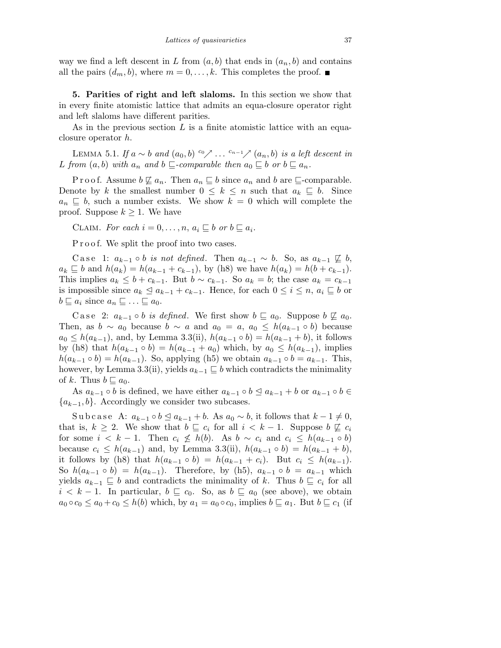way we find a left descent in L from  $(a, b)$  that ends in  $(a_n, b)$  and contains all the pairs  $(d_m, b)$ , where  $m = 0, \ldots, k$ . This completes the proof.

5. Parities of right and left slaloms. In this section we show that in every finite atomistic lattice that admits an equa-closure operator right and left slaloms have different parities.

As in the previous section  $L$  is a finite atomistic lattice with an equaclosure operator h.

LEMMA 5.1. If  $a \sim b$  and  $(a_0, b)$  <sup>c</sup>o<sub></sub> $\nearrow$  ... <sup>c<sub>n-1</sub></sup> $\nearrow$   $(a_n, b)$  is a left descent in L from  $(a,b)$  with  $a_n$  and  $b \sqsubseteq$ -comparable then  $a_0 \sqsubseteq b$  or  $b \sqsubseteq a_n$ .

P r o o f. Assume  $b \not\sqsubseteq a_n$ . Then  $a_n \sqsubseteq b$  since  $a_n$  and  $b$  are  $\sqsubseteq$ -comparable. Denote by k the smallest number  $0 \leq k \leq n$  such that  $a_k \subseteq b$ . Since  $a_n \subseteq b$ , such a number exists. We show  $k = 0$  which will complete the proof. Suppose  $k \geq 1$ . We have

CLAIM. For each  $i = 0, \ldots, n, a_i \sqsubseteq b$  or  $b \sqsubseteq a_i$ .

P r o o f. We split the proof into two cases.

C a se 1:  $a_{k-1} \circ b$  is not defined. Then  $a_{k-1} \sim b$ . So, as  $a_{k-1} \not\sqsubseteq b$ ,  $a_k \subseteq b$  and  $h(a_k) = h(a_{k-1} + c_{k-1}),$  by (h8) we have  $h(a_k) = h(b + c_{k-1}).$ This implies  $a_k \leq b + c_{k-1}$ . But  $b \sim c_{k-1}$ . So  $a_k = b$ ; the case  $a_k = c_{k-1}$ is impossible since  $a_k \leq a_{k-1} + c_{k-1}$ . Hence, for each  $0 \leq i \leq n$ ,  $a_i \sqsubseteq b$  or  $b \sqsubseteq a_i$  since  $a_n \sqsubseteq \ldots \sqsubseteq a_0$ .

C a se 2:  $a_{k-1} \circ b$  is defined. We first show  $b \sqsubseteq a_0$ . Suppose  $b \not\sqsubseteq a_0$ . Then, as  $b \sim a_0$  because  $b \sim a$  and  $a_0 = a$ ,  $a_0 \leq h(a_{k-1} \circ b)$  because  $a_0 \leq h(a_{k-1})$ , and, by Lemma 3.3(ii),  $h(a_{k-1} \circ b) = h(a_{k-1} + b)$ , it follows by (h8) that  $h(a_{k-1} \circ b) = h(a_{k-1} + a_0)$  which, by  $a_0 \leq h(a_{k-1})$ , implies  $h(a_{k-1} \circ b) = h(a_{k-1})$ . So, applying (h5) we obtain  $a_{k-1} \circ b = a_{k-1}$ . This, however, by Lemma 3.3(ii), yields  $a_{k-1} \subseteq b$  which contradicts the minimality of k. Thus  $b \sqsubseteq a_0$ .

As  $a_{k-1} \circ b$  is defined, we have either  $a_{k-1} \circ b \leq a_{k-1} + b$  or  $a_{k-1} \circ b \in$  ${a_{k-1},b}$ . Accordingly we consider two subcases.

Subcase A:  $a_{k-1} \circ b \leq a_{k-1} + b$ . As  $a_0 \sim b$ , it follows that  $k-1 \neq 0$ , that is,  $k \geq 2$ . We show that  $b \sqsubseteq c_i$  for all  $i < k-1$ . Suppose  $b \not\sqsubseteq c_i$ for some  $i < k - 1$ . Then  $c_i \not\leq h(b)$ . As  $b \sim c_i$  and  $c_i \leq h(a_{k-1} \circ b)$ because  $c_i \leq h(a_{k-1})$  and, by Lemma 3.3(ii),  $h(a_{k-1} \circ b) = h(a_{k-1} + b)$ , it follows by (h8) that  $h(a_{k-1} \circ b) = h(a_{k-1} + c_i)$ . But  $c_i \leq h(a_{k-1})$ . So  $h(a_{k-1} \circ b) = h(a_{k-1})$ . Therefore, by (h5),  $a_{k-1} \circ b = a_{k-1}$  which yields  $a_{k-1} \subseteq b$  and contradicts the minimality of k. Thus  $b \subseteq c_i$  for all  $i < k - 1$ . In particular,  $b \sqsubseteq c_0$ . So, as  $b \sqsubseteq a_0$  (see above), we obtain  $a_0 \circ c_0 \le a_0 + c_0 \le h(b)$  which, by  $a_1 = a_0 \circ c_0$ , implies  $b \sqsubseteq a_1$ . But  $b \sqsubseteq c_1$  (if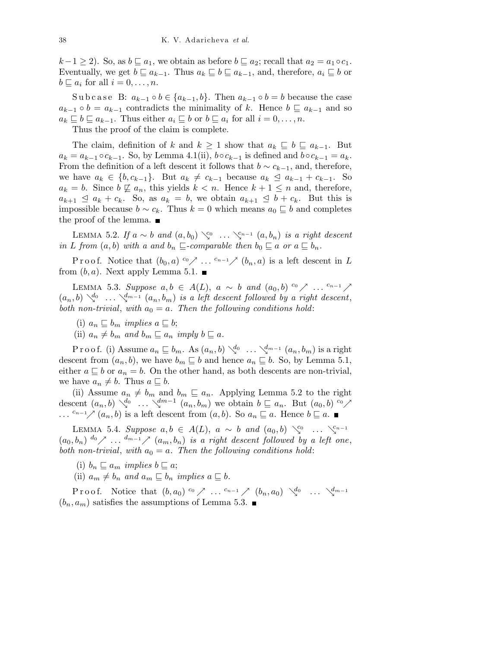$k-1 \geq 2$ ). So, as  $b \sqsubseteq a_1$ , we obtain as before  $b \sqsubseteq a_2$ ; recall that  $a_2 = a_1 \circ c_1$ . Eventually, we get  $b \sqsubseteq a_{k-1}$ . Thus  $a_k \sqsubseteq b \sqsubseteq a_{k-1}$ , and, therefore,  $a_i \sqsubseteq b$  or  $b \sqsubseteq a_i$  for all  $i = 0, \ldots, n$ .

Subcase B:  $a_{k-1} \circ b \in \{a_{k-1}, b\}$ . Then  $a_{k-1} \circ b = b$  because the case  $a_{k-1} \circ b = a_{k-1}$  contradicts the minimality of k. Hence  $b \sqsubseteq a_{k-1}$  and so  $a_k \sqsubseteq b \sqsubseteq a_{k-1}$ . Thus either  $a_i \sqsubseteq b$  or  $b \sqsubseteq a_i$  for all  $i = 0, \ldots, n$ .

Thus the proof of the claim is complete.

The claim, definition of k and  $k \geq 1$  show that  $a_k \subseteq b \subseteq a_{k-1}$ . But  $a_k = a_{k-1} \circ c_{k-1}$ . So, by Lemma 4.1(ii),  $b \circ c_{k-1}$  is defined and  $b \circ c_{k-1} = a_k$ . From the definition of a left descent it follows that  $b \sim c_{k-1}$ , and, therefore, we have  $a_k \in \{b, c_{k-1}\}.$  But  $a_k \neq c_{k-1}$  because  $a_k \leq a_{k-1} + c_{k-1}.$  So  $a_k = b$ . Since  $b \not\sqsubseteq a_n$ , this yields  $k < n$ . Hence  $k + 1 \leq n$  and, therefore,  $a_{k+1} \le a_k + c_k$ . So, as  $a_k = b$ , we obtain  $a_{k+1} \le b + c_k$ . But this is impossible because  $b \sim c_k$ . Thus  $k = 0$  which means  $a_0 \subseteq b$  and completes the proof of the lemma.  $\blacksquare$ 

LEMMA 5.2. If  $a \sim b$  and  $(a, b_0) \searrow^{c_0} \dots \searrow^{c_{n-1}} (a, b_n)$  is a right descent in L from  $(a,b)$  with a and  $b_n \sqsubseteq$ -comparable then  $b_0 \sqsubseteq a$  or  $a \sqsubseteq b_n$ .

Proof. Notice that  $(b_0, a) \overset{c_0}{\sim} \ldots \overset{c_{n-1}}{\sim} (b_n, a)$  is a left descent in L from  $(b, a)$ . Next apply Lemma 5.1.

LEMMA 5.3. Suppose  $a, b \in A(L)$ ,  $a \sim b$  and  $(a_0, b)$  <sup>co</sup>  $\nearrow$  ... <sup>c<sub>n-1</sub></sup>  $\nearrow$  $(a_n, b) \searrow^{d_0} \ldots \searrow^{d_{m-1}} (a_n, b_m)$  is a left descent followed by a right descent, both non-trivial, with  $a_0 = a$ . Then the following conditions hold:

- (i)  $a_n \sqsubseteq b_m$  *implies*  $a \sqsubseteq b$ ;
- (ii)  $a_n \neq b_m$  and  $b_m \sqsubseteq a_n$  imply  $b \sqsubseteq a$ .

P r o o f. (i) Assume  $a_n \sqsubseteq b_m$ . As  $(a_n, b) \searrow^{d_0} \dots \searrow^{d_{m-1}} (a_n, b_m)$  is a right descent from  $(a_n, b)$ , we have  $b_m \sqsubseteq b$  and hence  $a_n \sqsubseteq b$ . So, by Lemma 5.1, either  $a \sqsubseteq b$  or  $a_n = b$ . On the other hand, as both descents are non-trivial, we have  $a_n \neq b$ . Thus  $a \sqsubseteq b$ .

(ii) Assume  $a_n \neq b_m$  and  $b_m \sqsubseteq a_n$ . Applying Lemma 5.2 to the right descent  $(a_n, b) \searrow^{d_0} \dots \searrow^{dm-1} (a_n, b_m)$  we obtain  $b \sqsubseteq a_n$ . But  $(a_0, b) \circ \nearrow$ ...  $c_{n-1}$   $\nearrow$   $(a_n, b)$  is a left descent from  $(a, b)$ . So  $a_n \sqsubseteq a$ . Hence  $b \sqsubseteq a$ .

LEMMA 5.4. Suppose  $a, b \in A(L)$ ,  $a \sim b$  and  $(a_0, b) \searrow^{c_0} \dots \searrow^{c_{n-1}}$  $(a_0, b_n)$   $\overset{d_0}{\frown} \ldots$   $\overset{d_{m-1}}{\frown}$   $(a_m, b_n)$  is a right descent followed by a left one, both non-trivial, with  $a_0 = a$ . Then the following conditions hold:

(i)  $b_n \sqsubseteq a_m$  implies  $b \sqsubseteq a$ ;

(ii)  $a_m \neq b_n$  and  $a_m \sqsubseteq b_n$  implies  $a \sqsubseteq b$ .

Proof. Notice that  $(b, a_0)$  <sup>c<sub>0</sub></sup>  $\nearrow$  ... <sup>c<sub>n-1</sub></sup>  $\nearrow$   $(b_n, a_0)$   $\searrow^{d_0}$  ...  $\searrow^{d_{m-1}}$  $(b_n, a_m)$  satisfies the assumptions of Lemma 5.3.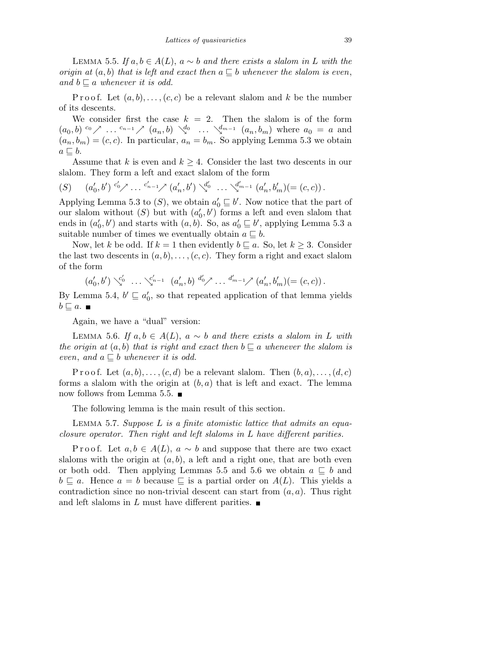LEMMA 5.5. If  $a, b \in A(L)$ ,  $a \sim b$  and there exists a slalom in L with the origin at  $(a, b)$  that is left and exact then  $a \subseteq b$  whenever the slalom is even, and  $b \sqsubset a$  whenever it is odd.

P r o o f. Let  $(a,b),\ldots,(c,c)$  be a relevant slalom and k be the number of its descents.

We consider first the case  $k = 2$ . Then the slalom is of the form  $(a_0, b)$   $\circ \circ \nearrow$  ...  $c_{n-1} \nearrow (a_n, b) \searrow^{d_0}$  ...  $\searrow^{d_{m-1}} (a_n, b_m)$  where  $a_0 = a$  and  $(a_n, b_m) = (c, c)$ . In particular,  $a_n = b_m$ . So applying Lemma 5.3 we obtain  $a \sqsubseteq b$ .

Assume that k is even and  $k \geq 4$ . Consider the last two descents in our slalom. They form a left and exact slalom of the form

$$
(S) \qquad (a'_0, b') \, {}^{c'_0} \nearrow \dots {}^{c'_{n-1}} \nearrow (a'_n, b') \searrow^{d'_0} \dots \searrow^{d'_{m-1}} (a'_n, b'_m) (= (c, c)) \, .
$$

Applying Lemma 5.3 to  $(S)$ , we obtain  $a'_0 \sqsubseteq b'$ . Now notice that the part of our slalom without  $(S)$  but with  $(a'_0, b')$  forms a left and even slalom that ends in  $(a'_0, b')$  and starts with  $(a, b)$ . So, as  $a'_0 \sqsubseteq b'$ , applying Lemma 5.3 a suitable number of times we eventually obtain  $a \subseteq b$ .

Now, let k be odd. If  $k = 1$  then evidently  $b \sqsubseteq a$ . So, let  $k \geq 3$ . Consider the last two descents in  $(a, b), \ldots, (c, c)$ . They form a right and exact slalom of the form

$$
(a'_0, b') \searrow^{c'_0} \dots \searrow^{c'_{n-1}} (a'_n, b) \stackrel{d'_0}{\longrightarrow} \dots \stackrel{d'_{m-1}}{\longrightarrow} (a'_n, b'_m) (= (c, c)) .
$$

By Lemma 5.4,  $b' \sqsubseteq a_0'$ , so that repeated application of that lemma yields  $b \sqsubset a$ .

Again, we have a "dual" version:

LEMMA 5.6. If  $a, b \in A(L)$ ,  $a \sim b$  and there exists a slalom in L with the origin at  $(a,b)$  that is right and exact then  $b \sqsubseteq a$  whenever the slalom is even, and  $a \sqsubseteq b$  whenever it is odd.

P r o o f. Let  $(a,b),\ldots,(c,d)$  be a relevant slalom. Then  $(b,a),\ldots,(d,c)$ forms a slalom with the origin at  $(b, a)$  that is left and exact. The lemma now follows from Lemma 5.5.  $\blacksquare$ 

The following lemma is the main result of this section.

LEMMA 5.7. Suppose  $L$  is a finite atomistic lattice that admits an equaclosure operator. Then right and left slaloms in L have different parities.

P r o o f. Let  $a, b \in A(L)$ ,  $a \sim b$  and suppose that there are two exact slaloms with the origin at  $(a, b)$ , a left and a right one, that are both even or both odd. Then applying Lemmas 5.5 and 5.6 we obtain  $a \subseteq b$  and  $b \sqsubseteq a$ . Hence  $a = b$  because  $\sqsubseteq$  is a partial order on  $A(L)$ . This yields a contradiction since no non-trivial descent can start from  $(a, a)$ . Thus right and left slaloms in L must have different parities.  $\blacksquare$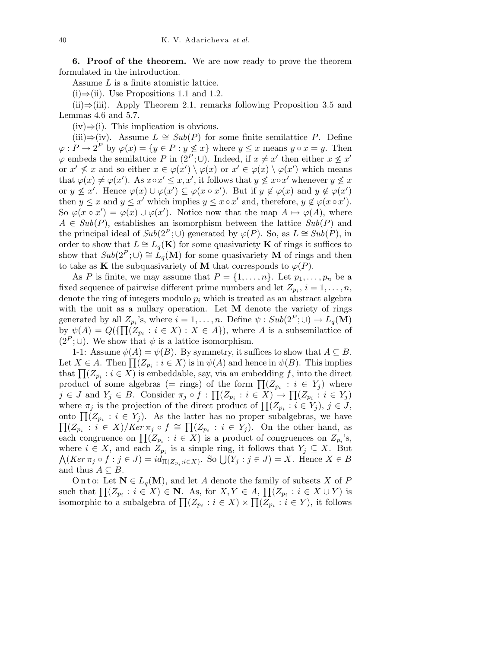6. Proof of the theorem. We are now ready to prove the theorem formulated in the introduction.

Assume L is a finite atomistic lattice.

(i)⇒(ii). Use Propositions 1.1 and 1.2.

(ii)⇒(iii). Apply Theorem 2.1, remarks following Proposition 3.5 and Lemmas 4.6 and 5.7.

 $(iv) \Rightarrow (i)$ . This implication is obvious.

(iii)⇒(iv). Assume  $L \cong Sub(P)$  for some finite semilattice P. Define  $\varphi: P \to 2^P$  by  $\varphi(x) = \{y \in P : y \not\leq x\}$  where  $y \leq x$  means  $y \circ x = y$ . Then  $\varphi$  embeds the semilattice P in  $(2^P; \cup)$ . Indeed, if  $x \neq x'$  then either  $x \not\leq x'$ or  $x' \nleq x$  and so either  $x \in \varphi(x') \setminus \varphi(x)$  or  $x' \in \varphi(x) \setminus \varphi(x')$  which means that  $\varphi(x) \neq \varphi(x')$ . As  $x \circ x' \leq x, x'$ , it follows that  $y \not\leq x \circ x'$  whenever  $y \not\leq x$ or  $y \nleq x'$ . Hence  $\varphi(x) \cup \varphi(x') \subseteq \varphi(x \circ x')$ . But if  $y \notin \varphi(x)$  and  $y \notin \varphi(x')$ then  $y \leq x$  and  $y \leq x'$  which implies  $y \leq x \circ x'$  and, therefore,  $y \notin \varphi(x \circ x')$ . So  $\varphi(x \circ x') = \varphi(x) \cup \varphi(x')$ . Notice now that the map  $A \mapsto \varphi(A)$ , where  $A \in Sub(P)$ , establishes an isomorphism between the lattice  $Sub(P)$  and the principal ideal of  $Sub(2^P; \cup)$  generated by  $\varphi(P)$ . So, as  $L \cong Sub(P)$ , in order to show that  $L \cong L_q(\mathbf{K})$  for some quasivariety **K** of rings it suffices to show that  $Sub(2^P; \cup) \cong L_q(M)$  for some quasivariety M of rings and then to take as **K** the subquasivariety of **M** that corresponds to  $\varphi(P)$ .

As P is finite, we may assume that  $P = \{1, \ldots, n\}$ . Let  $p_1, \ldots, p_n$  be a fixed sequence of pairwise different prime numbers and let  $Z_{p_i}$ ,  $i = 1, \ldots, n$ , denote the ring of integers modulo  $p_i$  which is treated as an abstract algebra with the unit as a nullary operation. Let  $M$  denote the variety of rings generated by all  $Z_{p_i}$ 's, where  $i = 1, \ldots, n$ . Define  $\psi : Sub(2^P; \cup) \to L_q(\mathbf{M})$ by  $\psi(A) = Q(\{\prod (Z_{p_i} : i \in X) : X \in A\})$ , where A is a subsemilattice of  $(2^P; \cup)$ . We show that  $\psi$  is a lattice isomorphism.

1-1: Assume  $\psi(A) = \psi(B)$ . By symmetry, it suffices to show that  $A \subseteq B$ . Let  $X \in A$ . Then  $\prod (Z_{p_i} : i \in X)$  is in  $\psi(A)$  and hence in  $\psi(B)$ . This implies that  $\prod (Z_{p_i} : i \in X)$  is embeddable, say, via an embedding f, into the direct product of some algebras (= rings) of the form  $\prod (Z_{p_i} : i \in Y_j)$  where  $j \in J$  and  $Y_j \in B$ . Consider  $\pi_j \circ f : \prod (Z_{p_i} : i \in X) \to \prod (Z_{p_i} : i \in Y_j)$ where  $\pi_j$  is the projection of the direct product of  $\prod_{i} (Z_{p_i} : i \in Y_j)$ ,  $j \in J$ , onto  $\prod (Z_{p_i} : i \in Y_j)$ . As the latter has no proper subalgebras, we have  $\prod (Z_{p_i} : i \in X)/Ker \pi_j \circ f \cong \prod (Z_{p_i} : i \in Y_j)$ . On the other hand, as each congruence on  $\prod (Z_{p_i} : i \in X)$  is a product of congruences on  $Z_{p_i}$ 's, where  $i \in X$ , and each  $Z_{p_i}$  is a simple ring, it follows that  $Y_j \subseteq X$ . But  $\bigwedge (Ker \pi_j \circ f : j \in J) = id_{\Pi(Z_{p_i}: i \in X)}$ . So  $\bigcup (Y_j : j \in J) = X$ . Hence  $X \in B$ and thus  $A \subseteq B$ .

Onto: Let  $N \in L_q(M)$ , and let A denote the family of subsets X of P such that  $\prod (Z_{p_i} : i \in X) \in \mathbb{N}$ . As, for  $X, Y \in A$ ,  $\prod (Z_{p_i} : i \in X \cup Y)$  is isomorphic to a subalgebra of  $\prod (Z_{p_i} : i \in X) \times \prod (Z_{p_i} : i \in Y)$ , it follows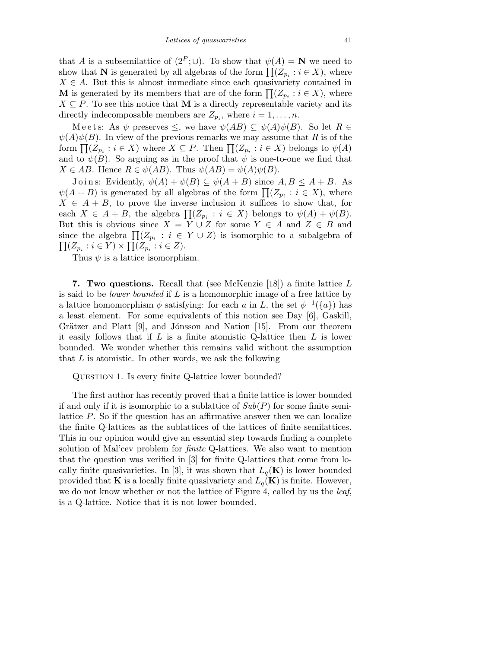that A is a subsemilattice of  $(2^P; \cup)$ . To show that  $\psi(A) = N$  we need to show that N is generated by all algebras of the form  $\prod (Z_{p_i} : i \in X)$ , where  $X \in A$ . But this is almost immediate since each quasivariety contained in **M** is generated by its members that are of the form  $\prod_{i} (Z_{p_i} : i \in X)$ , where  $X \subseteq P$ . To see this notice that **M** is a directly representable variety and its directly indecomposable members are  $Z_{p_i}$ , where  $i = 1, \ldots, n$ .

M e e t s: As  $\psi$  preserves  $\leq$ , we have  $\psi(AB) \subseteq \psi(A)\psi(B)$ . So let  $R \in$  $\psi(A)\psi(B)$ . In view of the previous remarks we may assume that R is of the form  $\prod (Z_{p_i} : i \in X)$  where  $X \subseteq P$ . Then  $\prod (Z_{p_i} : i \in X)$  belongs to  $\psi(A)$ and to  $\psi(B)$ . So arguing as in the proof that  $\psi$  is one-to-one we find that  $X \in AB$ . Hence  $R \in \psi(AB)$ . Thus  $\psi(AB) = \psi(A)\psi(B)$ .

Joins: Evidently,  $\psi(A) + \psi(B) \subseteq \psi(A + B)$  since  $A, B \subseteq A + B$ . As  $\psi(A + B)$  is generated by all algebras of the form  $\prod_{i} (Z_{p_i} : i \in X)$ , where  $X \in A + B$ , to prove the inverse inclusion it suffices to show that, for each  $X \in A + B$ , the algebra  $\prod (Z_{p_i} : i \in X)$  belongs to  $\psi(A) + \psi(B)$ . But this is obvious since  $X = Y \cup Z$  for some  $Y \in A$  and  $Z \in B$  and since the algebra  $\prod (Z_{p_i} : i \in Y \cup Z)$  is isomorphic to a subalgebra of  $\prod (Z_{p_i} : i \in Y) \times \prod (Z_{p_i} : i \in Z).$ 

Thus  $\psi$  is a lattice isomorphism.

7. Two questions. Recall that (see McKenzie [18]) a finite lattice L is said to be *lower bounded* if  $L$  is a homomorphic image of a free lattice by a lattice homomorphism  $\phi$  satisfying: for each a in L, the set  $\phi^{-1}(\{a\})$  has a least element. For some equivalents of this notion see Day [6], Gaskill, Grätzer and Platt  $[9]$ , and Jónsson and Nation  $[15]$ . From our theorem it easily follows that if  $L$  is a finite atomistic Q-lattice then  $L$  is lower bounded. We wonder whether this remains valid without the assumption that  $L$  is atomistic. In other words, we ask the following

QUESTION 1. Is every finite Q-lattice lower bounded?

The first author has recently proved that a finite lattice is lower bounded if and only if it is isomorphic to a sublattice of  $Sub(P)$  for some finite semilattice P. So if the question has an affirmative answer then we can localize the finite Q-lattices as the sublattices of the lattices of finite semilattices. This in our opinion would give an essential step towards finding a complete solution of Mal'cev problem for finite Q-lattices. We also want to mention that the question was verified in [3] for finite Q-lattices that come from locally finite quasivarieties. In [3], it was shown that  $L_q(\mathbf{K})$  is lower bounded provided that **K** is a locally finite quasivariety and  $L_q(\mathbf{K})$  is finite. However, we do not know whether or not the lattice of Figure 4, called by us the *leaf*, is a Q-lattice. Notice that it is not lower bounded.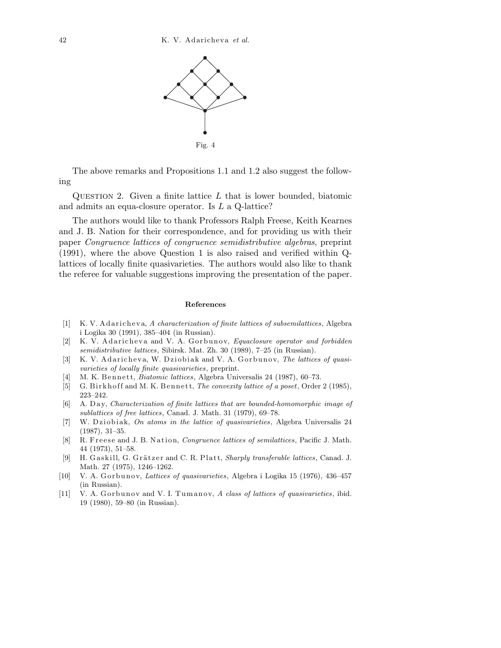

The above remarks and Propositions 1.1 and 1.2 also suggest the following

QUESTION 2. Given a finite lattice  $L$  that is lower bounded, biatomic and admits an equa-closure operator. Is L a Q-lattice?

The authors would like to thank Professors Ralph Freese, Keith Kearnes and J. B. Nation for their correspondence, and for providing us with their paper Congruence lattices of congruence semidistributive algebras, preprint (1991), where the above Question 1 is also raised and verified within Qlattices of locally finite quasivarieties. The authors would also like to thank the referee for valuable suggestions improving the presentation of the paper.

## **References**

- [1] K. V. A d a richeva, A *characterization of finite lattices of subsemilattices*, Algebra i Logika 30 (1991), 385–404 (in Russian).
- [2] K. V. Adaricheva and V. A. Gorbunov, *Equaclosure operator and forbidden semidistributive lattices*, Sibirsk. Mat. Zh. 30 (1989), 7–25 (in Russian).
- [3] K. V. A daricheva, W. Dziobiak and V. A. Gorbunov, *The lattices of quasivarieties of locally finite quasivarieties*, preprint.
- [4] M. K. B e n n e t t, *Biatomic lattices*, Algebra Universalis 24 (1987), 60–73.
- [5] G. Birkhoff and M. K. Bennett, *The convexity lattice of a poset*, Order 2 (1985), 223–242.
- [6] A. D a y, *Characterization of finite lattices that are bounded-homomorphic image of sublattices of free lattices*, Canad. J. Math. 31 (1979), 69–78.
- [7] W. Dziobiak, *On atoms in the lattice of quasivarieties*, Algebra Universalis 24 (1987), 31–35.
- [8] R. Freese and J. B. Nation, *Congruence lattices of semilattices*, Pacific J. Math. 44 (1973), 51–58.
- [9] H. Gaskill, G. Grätzer and C. R. Platt, *Sharply transferable lattices*, Canad. J. Math. 27 (1975), 1246–1262.
- [10] V. A. Gorbunov, *Lattices of quasivarieties*, Algebra i Logika 15 (1976), 436–457 (in Russian).
- [11] V. A. Gorbunov and V. I. Tumanov, *A class of lattices of quasivarieties*, ibid. 19 (1980), 59–80 (in Russian).